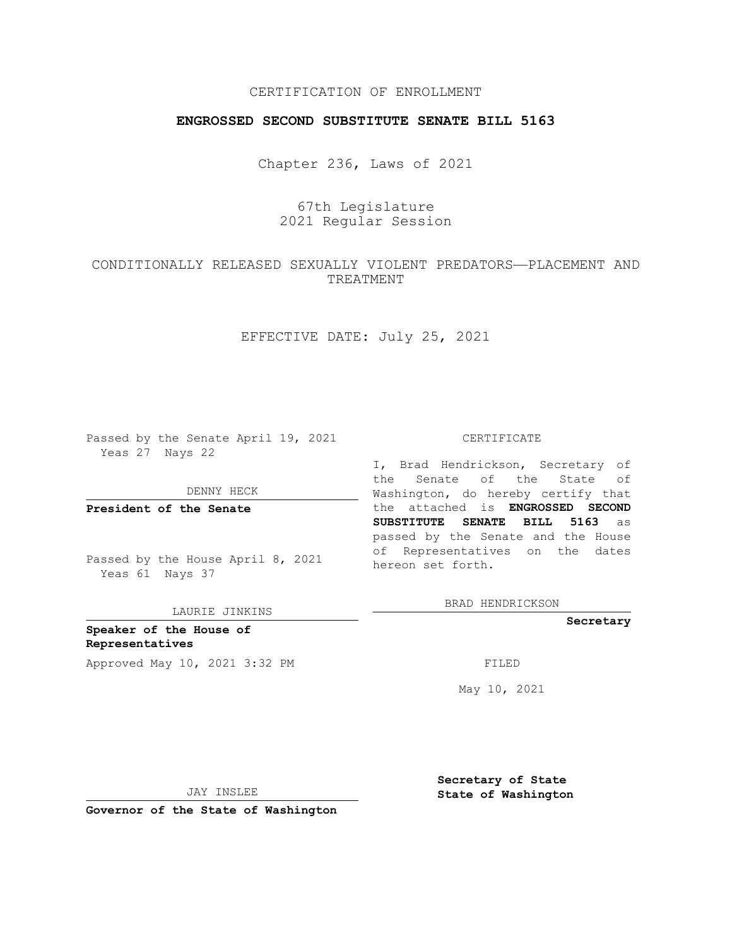## CERTIFICATION OF ENROLLMENT

### **ENGROSSED SECOND SUBSTITUTE SENATE BILL 5163**

Chapter 236, Laws of 2021

# 67th Legislature 2021 Regular Session

## CONDITIONALLY RELEASED SEXUALLY VIOLENT PREDATORS—PLACEMENT AND TREATMENT

### EFFECTIVE DATE: July 25, 2021

Passed by the Senate April 19, 2021 Yeas 27 Nays 22

DENNY HECK

**President of the Senate**

Passed by the House April 8, 2021 Yeas 61 Nays 37

LAURIE JINKINS

**Speaker of the House of Representatives** Approved May 10, 2021 3:32 PM FILED

#### CERTIFICATE

I, Brad Hendrickson, Secretary of the Senate of the State of Washington, do hereby certify that the attached is **ENGROSSED SECOND SUBSTITUTE SENATE BILL 5163** as passed by the Senate and the House of Representatives on the dates hereon set forth.

BRAD HENDRICKSON

**Secretary**

May 10, 2021

JAY INSLEE

**Secretary of State State of Washington**

**Governor of the State of Washington**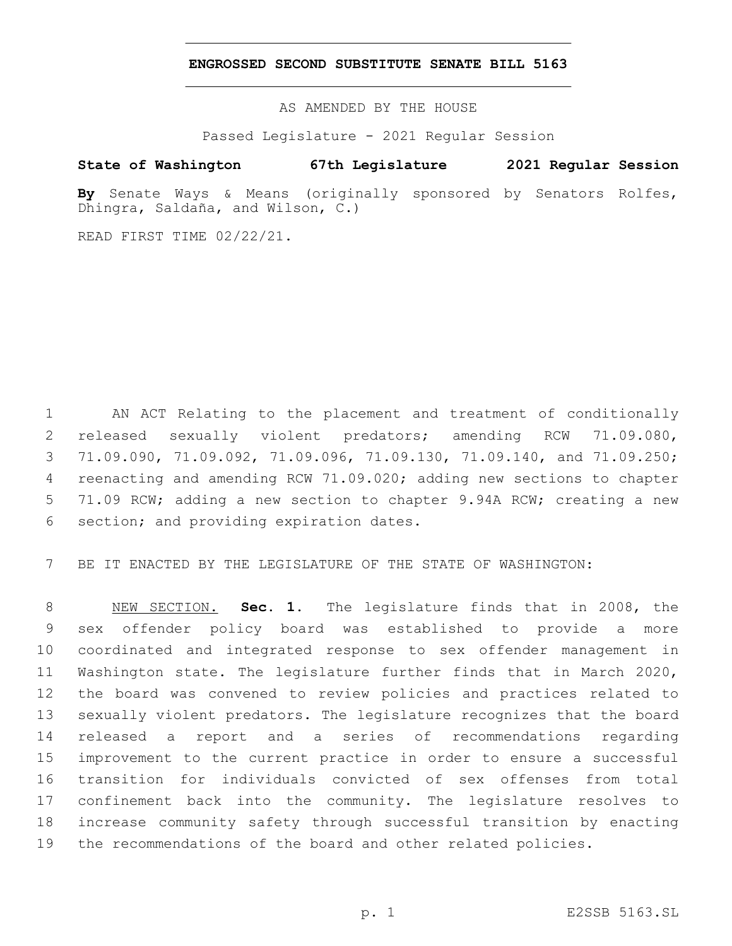#### **ENGROSSED SECOND SUBSTITUTE SENATE BILL 5163**

AS AMENDED BY THE HOUSE

Passed Legislature - 2021 Regular Session

# **State of Washington 67th Legislature 2021 Regular Session**

**By** Senate Ways & Means (originally sponsored by Senators Rolfes, Dhingra, Saldaña, and Wilson, C.)

READ FIRST TIME 02/22/21.

 AN ACT Relating to the placement and treatment of conditionally released sexually violent predators; amending RCW 71.09.080, 71.09.090, 71.09.092, 71.09.096, 71.09.130, 71.09.140, and 71.09.250; reenacting and amending RCW 71.09.020; adding new sections to chapter 71.09 RCW; adding a new section to chapter 9.94A RCW; creating a new 6 section; and providing expiration dates.

BE IT ENACTED BY THE LEGISLATURE OF THE STATE OF WASHINGTON:

 NEW SECTION. **Sec. 1.** The legislature finds that in 2008, the sex offender policy board was established to provide a more coordinated and integrated response to sex offender management in Washington state. The legislature further finds that in March 2020, the board was convened to review policies and practices related to sexually violent predators. The legislature recognizes that the board released a report and a series of recommendations regarding improvement to the current practice in order to ensure a successful transition for individuals convicted of sex offenses from total confinement back into the community. The legislature resolves to increase community safety through successful transition by enacting the recommendations of the board and other related policies.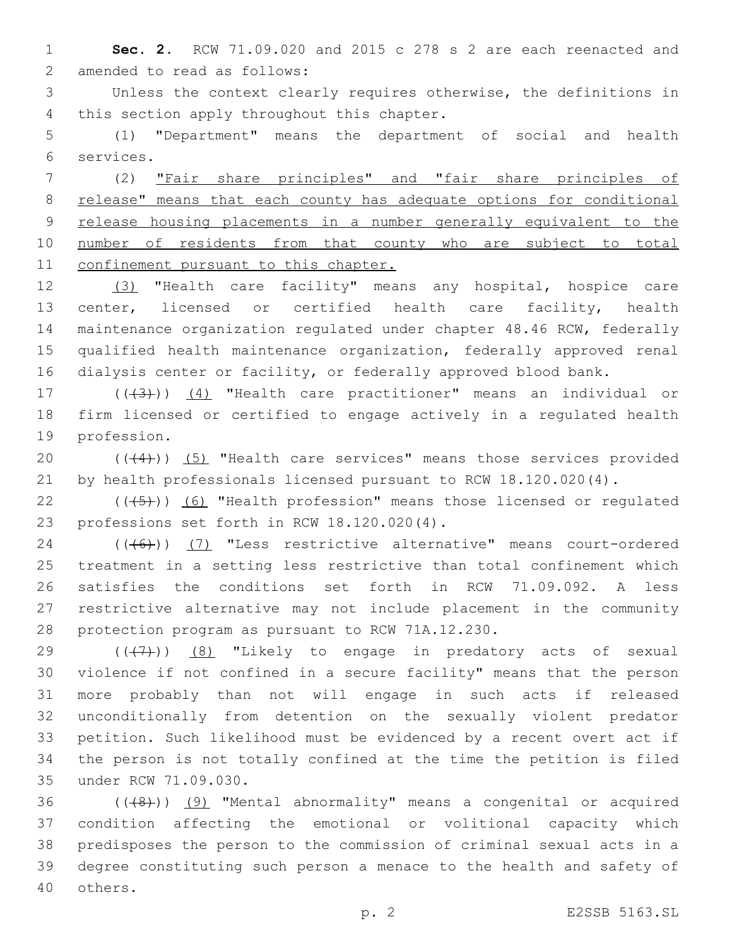**Sec. 2.** RCW 71.09.020 and 2015 c 278 s 2 are each reenacted and 2 amended to read as follows:

 Unless the context clearly requires otherwise, the definitions in 4 this section apply throughout this chapter.

 (1) "Department" means the department of social and health services.6

 (2) "Fair share principles" and "fair share principles of release" means that each county has adequate options for conditional release housing placements in a number generally equivalent to the 10 number of residents from that county who are subject to total 11 confinement pursuant to this chapter.

 (3) "Health care facility" means any hospital, hospice care center, licensed or certified health care facility, health maintenance organization regulated under chapter 48.46 RCW, federally qualified health maintenance organization, federally approved renal dialysis center or facility, or federally approved blood bank.

17 (((43))) (4) "Health care practitioner" means an individual or firm licensed or certified to engage actively in a regulated health 19 profession.

20 (((4))) (5) "Health care services" means those services provided by health professionals licensed pursuant to RCW 18.120.020(4).

 $((\overline{5})$  (6) "Health profession" means those licensed or regulated 23 professions set forth in RCW 18.120.020(4).

24 (((6)) (7) "Less restrictive alternative" means court-ordered treatment in a setting less restrictive than total confinement which satisfies the conditions set forth in RCW 71.09.092. A less restrictive alternative may not include placement in the community 28 protection program as pursuant to RCW 71A.12.230.

 $((+7+))$  (8) "Likely to engage in predatory acts of sexual violence if not confined in a secure facility" means that the person more probably than not will engage in such acts if released unconditionally from detention on the sexually violent predator petition. Such likelihood must be evidenced by a recent overt act if the person is not totally confined at the time the petition is filed 35 under RCW 71.09.030.

 ( $(48)$ )) (9) "Mental abnormality" means a congenital or acquired condition affecting the emotional or volitional capacity which predisposes the person to the commission of criminal sexual acts in a degree constituting such person a menace to the health and safety of 40 others.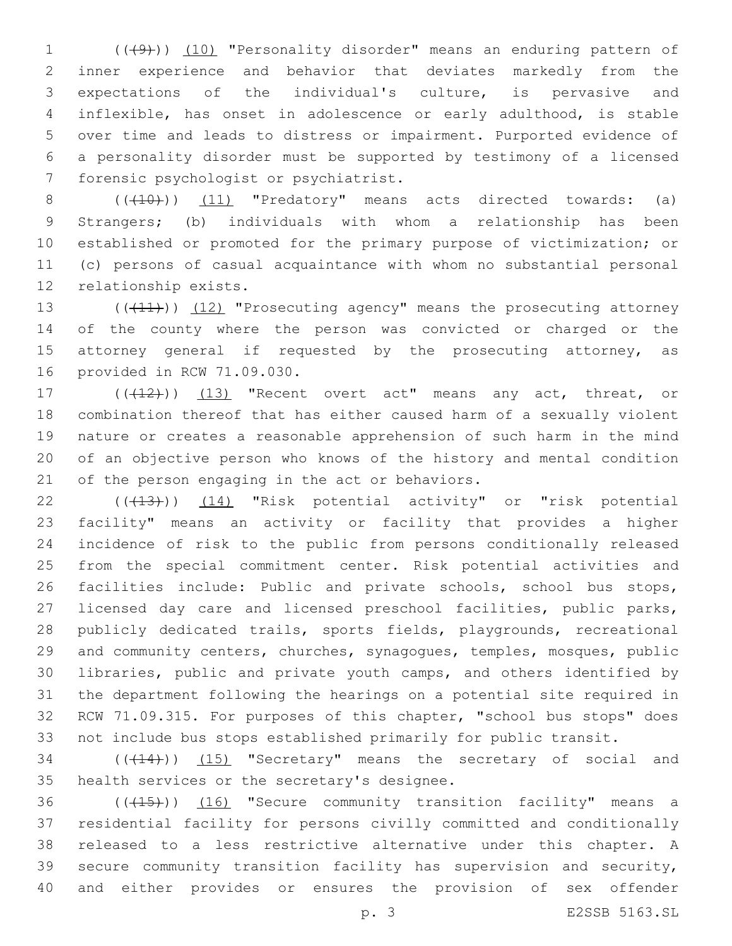1 (((49))) (10) "Personality disorder" means an enduring pattern of inner experience and behavior that deviates markedly from the expectations of the individual's culture, is pervasive and inflexible, has onset in adolescence or early adulthood, is stable over time and leads to distress or impairment. Purported evidence of a personality disorder must be supported by testimony of a licensed 7 forensic psychologist or psychiatrist.

 $((+10))$   $(11)$  "Predatory" means acts directed towards: (a) Strangers; (b) individuals with whom a relationship has been established or promoted for the primary purpose of victimization; or (c) persons of casual acquaintance with whom no substantial personal 12 relationship exists.

13 ((+11)) (12) "Prosecuting agency" means the prosecuting attorney of the county where the person was convicted or charged or the 15 attorney general if requested by the prosecuting attorney, as 16 provided in RCW 71.09.030.

17 (((412))) (13) "Recent overt act" means any act, threat, or combination thereof that has either caused harm of a sexually violent nature or creates a reasonable apprehension of such harm in the mind of an objective person who knows of the history and mental condition 21 of the person engaging in the act or behaviors.

22 (( $(43)$ )) (14) "Risk potential activity" or "risk potential facility" means an activity or facility that provides a higher incidence of risk to the public from persons conditionally released from the special commitment center. Risk potential activities and 26 facilities include: Public and private schools, school bus stops, licensed day care and licensed preschool facilities, public parks, publicly dedicated trails, sports fields, playgrounds, recreational and community centers, churches, synagogues, temples, mosques, public libraries, public and private youth camps, and others identified by the department following the hearings on a potential site required in RCW 71.09.315. For purposes of this chapter, "school bus stops" does not include bus stops established primarily for public transit.

34 (( $(14)$ )) (15) "Secretary" means the secretary of social and 35 health services or the secretary's designee.

36 (((15))) (16) "Secure community transition facility" means a residential facility for persons civilly committed and conditionally released to a less restrictive alternative under this chapter. A secure community transition facility has supervision and security, and either provides or ensures the provision of sex offender

p. 3 E2SSB 5163.SL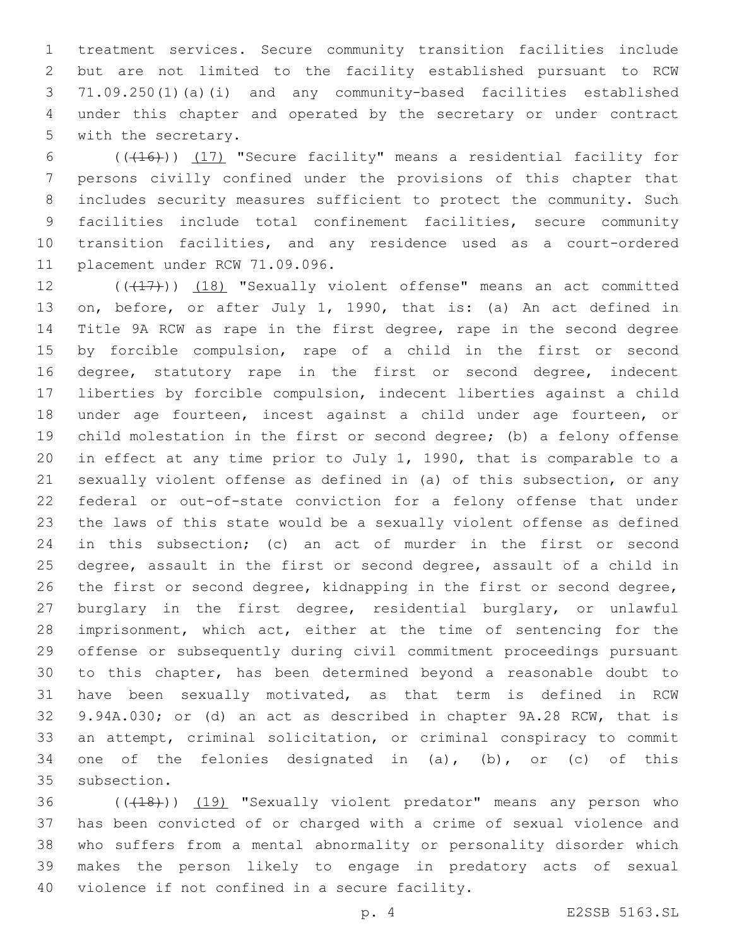treatment services. Secure community transition facilities include but are not limited to the facility established pursuant to RCW 71.09.250(1)(a)(i) and any community-based facilities established under this chapter and operated by the secretary or under contract 5 with the secretary.

6 (((416)) (17) "Secure facility" means a residential facility for persons civilly confined under the provisions of this chapter that includes security measures sufficient to protect the community. Such facilities include total confinement facilities, secure community transition facilities, and any residence used as a court-ordered 11 placement under RCW 71.09.096.

12 (((17))) (18) "Sexually violent offense" means an act committed on, before, or after July 1, 1990, that is: (a) An act defined in Title 9A RCW as rape in the first degree, rape in the second degree by forcible compulsion, rape of a child in the first or second 16 degree, statutory rape in the first or second degree, indecent liberties by forcible compulsion, indecent liberties against a child under age fourteen, incest against a child under age fourteen, or child molestation in the first or second degree; (b) a felony offense in effect at any time prior to July 1, 1990, that is comparable to a sexually violent offense as defined in (a) of this subsection, or any federal or out-of-state conviction for a felony offense that under the laws of this state would be a sexually violent offense as defined in this subsection; (c) an act of murder in the first or second degree, assault in the first or second degree, assault of a child in the first or second degree, kidnapping in the first or second degree, burglary in the first degree, residential burglary, or unlawful imprisonment, which act, either at the time of sentencing for the offense or subsequently during civil commitment proceedings pursuant to this chapter, has been determined beyond a reasonable doubt to have been sexually motivated, as that term is defined in RCW 9.94A.030; or (d) an act as described in chapter 9A.28 RCW, that is an attempt, criminal solicitation, or criminal conspiracy to commit 34 one of the felonies designated in  $(a)$ ,  $(b)$ , or  $(c)$  of this 35 subsection.

36 (((18))) (19) "Sexually violent predator" means any person who has been convicted of or charged with a crime of sexual violence and who suffers from a mental abnormality or personality disorder which makes the person likely to engage in predatory acts of sexual 40 violence if not confined in a secure facility.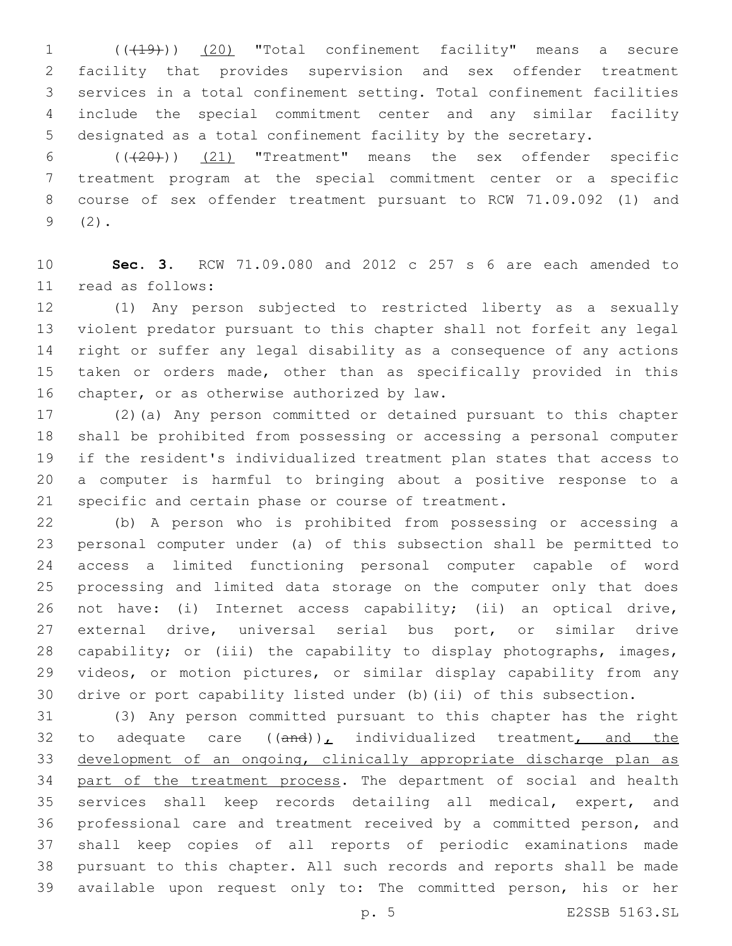(((19))) (20) "Total confinement facility" means a secure facility that provides supervision and sex offender treatment services in a total confinement setting. Total confinement facilities include the special commitment center and any similar facility designated as a total confinement facility by the secretary.

 $((+20))$   $(21)$  "Treatment" means the sex offender specific treatment program at the special commitment center or a specific course of sex offender treatment pursuant to RCW 71.09.092 (1) and  $9(2)$ .

 **Sec. 3.** RCW 71.09.080 and 2012 c 257 s 6 are each amended to 11 read as follows:

 (1) Any person subjected to restricted liberty as a sexually violent predator pursuant to this chapter shall not forfeit any legal right or suffer any legal disability as a consequence of any actions taken or orders made, other than as specifically provided in this 16 chapter, or as otherwise authorized by law.

 (2)(a) Any person committed or detained pursuant to this chapter shall be prohibited from possessing or accessing a personal computer if the resident's individualized treatment plan states that access to a computer is harmful to bringing about a positive response to a specific and certain phase or course of treatment.

 (b) A person who is prohibited from possessing or accessing a personal computer under (a) of this subsection shall be permitted to access a limited functioning personal computer capable of word processing and limited data storage on the computer only that does not have: (i) Internet access capability; (ii) an optical drive, external drive, universal serial bus port, or similar drive capability; or (iii) the capability to display photographs, images, videos, or motion pictures, or similar display capability from any drive or port capability listed under (b)(ii) of this subsection.

 (3) Any person committed pursuant to this chapter has the right 32 to adequate care  $((and))_L$  individualized treatment<sub> $L$  and the</sub> development of an ongoing, clinically appropriate discharge plan as 34 part of the treatment process. The department of social and health services shall keep records detailing all medical, expert, and professional care and treatment received by a committed person, and shall keep copies of all reports of periodic examinations made pursuant to this chapter. All such records and reports shall be made available upon request only to: The committed person, his or her

p. 5 E2SSB 5163.SL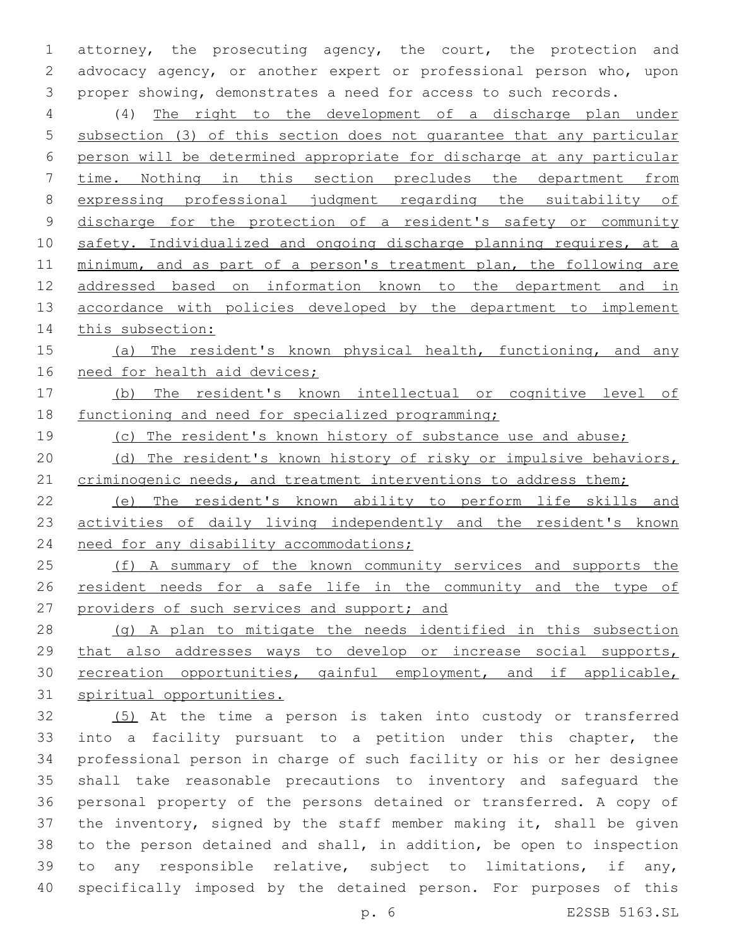attorney, the prosecuting agency, the court, the protection and advocacy agency, or another expert or professional person who, upon proper showing, demonstrates a need for access to such records.

 (4) The right to the development of a discharge plan under subsection (3) of this section does not guarantee that any particular person will be determined appropriate for discharge at any particular time. Nothing in this section precludes the department from expressing professional judgment regarding the suitability of discharge for the protection of a resident's safety or community 10 safety. Individualized and ongoing discharge planning requires, at a minimum, and as part of a person's treatment plan, the following are addressed based on information known to the department and in 13 accordance with policies developed by the department to implement 14 this subsection:

15 (a) The resident's known physical health, functioning, and any need for health aid devices;

 (b) The resident's known intellectual or cognitive level of functioning and need for specialized programming;

(c) The resident's known history of substance use and abuse;

20 (d) The resident's known history of risky or impulsive behaviors, 21 criminogenic needs, and treatment interventions to address them;

 (e) The resident's known ability to perform life skills and 23 activities of daily living independently and the resident's known 24 need for any disability accommodations;

 (f) A summary of the known community services and supports the resident needs for a safe life in the community and the type of 27 providers of such services and support; and

 (g) A plan to mitigate the needs identified in this subsection that also addresses ways to develop or increase social supports, recreation opportunities, gainful employment, and if applicable, spiritual opportunities.

 (5) At the time a person is taken into custody or transferred into a facility pursuant to a petition under this chapter, the professional person in charge of such facility or his or her designee shall take reasonable precautions to inventory and safeguard the personal property of the persons detained or transferred. A copy of the inventory, signed by the staff member making it, shall be given to the person detained and shall, in addition, be open to inspection to any responsible relative, subject to limitations, if any, specifically imposed by the detained person. For purposes of this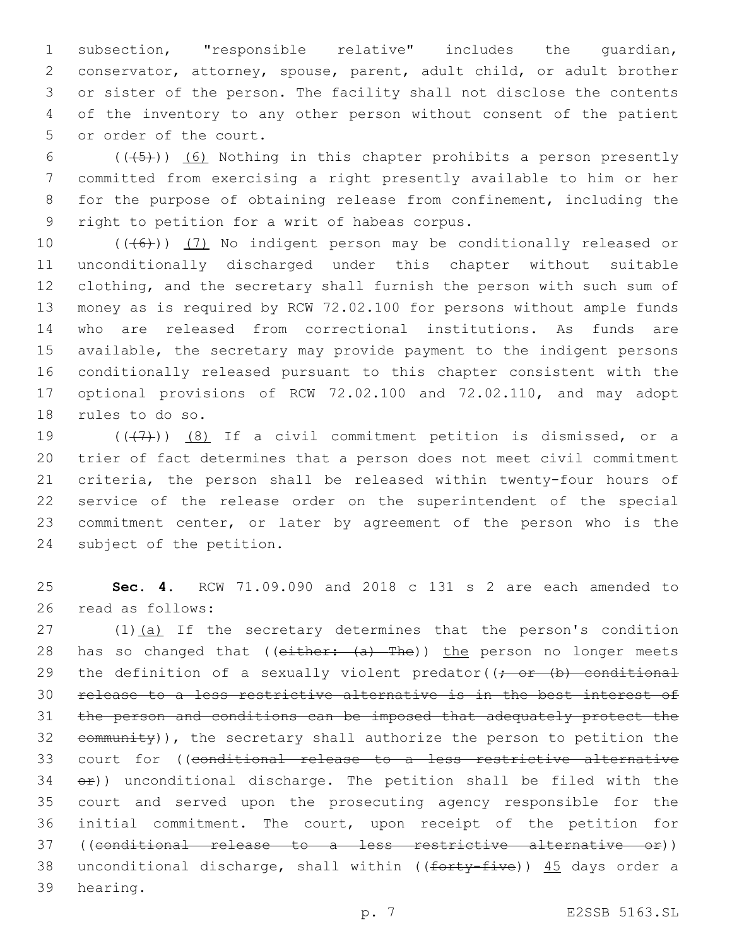subsection, "responsible relative" includes the guardian, conservator, attorney, spouse, parent, adult child, or adult brother or sister of the person. The facility shall not disclose the contents of the inventory to any other person without consent of the patient 5 or order of the court.

 $((+5))$  (6) Nothing in this chapter prohibits a person presently committed from exercising a right presently available to him or her for the purpose of obtaining release from confinement, including the 9 right to petition for a writ of habeas corpus.

 $((+6+))$   $(7)$  No indigent person may be conditionally released or unconditionally discharged under this chapter without suitable clothing, and the secretary shall furnish the person with such sum of money as is required by RCW 72.02.100 for persons without ample funds who are released from correctional institutions. As funds are available, the secretary may provide payment to the indigent persons conditionally released pursuant to this chapter consistent with the optional provisions of RCW 72.02.100 and 72.02.110, and may adopt 18 rules to do so.

 $((+7+))$   $(8)$  If a civil commitment petition is dismissed, or a trier of fact determines that a person does not meet civil commitment criteria, the person shall be released within twenty-four hours of service of the release order on the superintendent of the special commitment center, or later by agreement of the person who is the 24 subject of the petition.

 **Sec. 4.** RCW 71.09.090 and 2018 c 131 s 2 are each amended to 26 read as follows:

27 (1)(a) If the secretary determines that the person's condition 28 has so changed that (( $e$ ither:  $(a)$  The)) the person no longer meets 29 the definition of a sexually violent predator( $\left(f - \text{or} \left( b\right) \right)$  conditional release to a less restrictive alternative is in the best interest of the person and conditions can be imposed that adequately protect the community)), the secretary shall authorize the person to petition the court for ((conditional release to a less restrictive alternative  $\leftrightarrow$ )) unconditional discharge. The petition shall be filed with the court and served upon the prosecuting agency responsible for the initial commitment. The court, upon receipt of the petition for ((conditional release to a less restrictive alternative or)) 38 unconditional discharge, shall within (( $f$ orty-five))  $45$  days order a 39 hearing.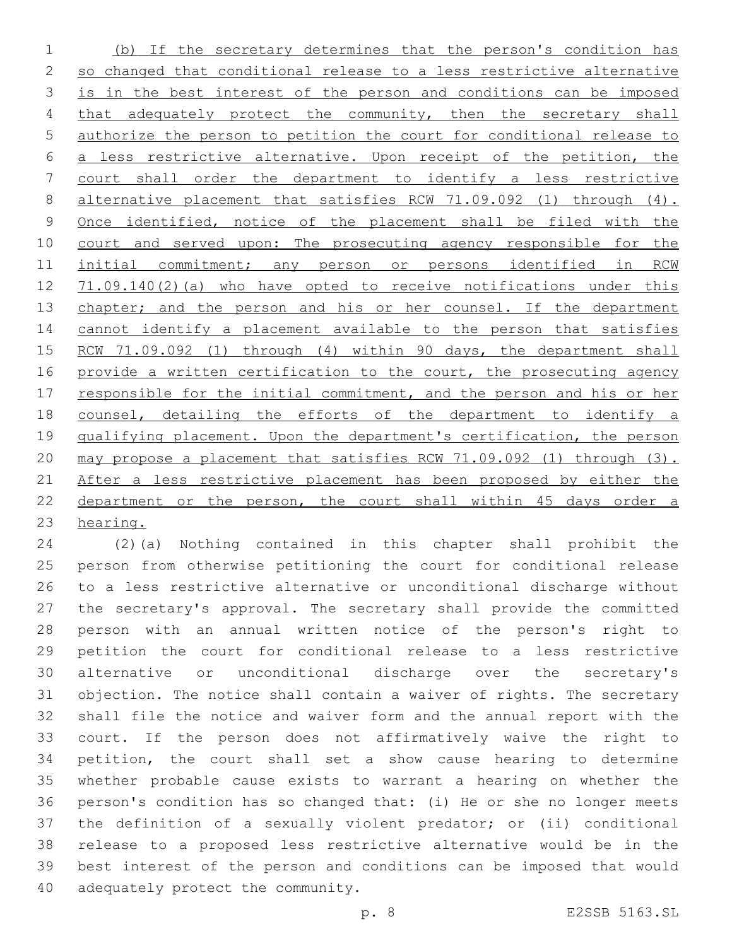(b) If the secretary determines that the person's condition has so changed that conditional release to a less restrictive alternative is in the best interest of the person and conditions can be imposed 4 that adequately protect the community, then the secretary shall authorize the person to petition the court for conditional release to a less restrictive alternative. Upon receipt of the petition, the court shall order the department to identify a less restrictive 8 alternative placement that satisfies RCW 71.09.092 (1) through (4). Once identified, notice of the placement shall be filed with the 10 court and served upon: The prosecuting agency responsible for the initial commitment; any person or persons identified in RCW 12 71.09.140(2)(a) who have opted to receive notifications under this 13 chapter; and the person and his or her counsel. If the department cannot identify a placement available to the person that satisfies 15 RCW 71.09.092 (1) through (4) within 90 days, the department shall 16 provide a written certification to the court, the prosecuting agency 17 responsible for the initial commitment, and the person and his or her counsel, detailing the efforts of the department to identify a 19 qualifying placement. Upon the department's certification, the person may propose a placement that satisfies RCW 71.09.092 (1) through (3). 21 After a less restrictive placement has been proposed by either the department or the person, the court shall within 45 days order a hearing.

 (2)(a) Nothing contained in this chapter shall prohibit the person from otherwise petitioning the court for conditional release to a less restrictive alternative or unconditional discharge without the secretary's approval. The secretary shall provide the committed person with an annual written notice of the person's right to petition the court for conditional release to a less restrictive alternative or unconditional discharge over the secretary's objection. The notice shall contain a waiver of rights. The secretary shall file the notice and waiver form and the annual report with the court. If the person does not affirmatively waive the right to petition, the court shall set a show cause hearing to determine whether probable cause exists to warrant a hearing on whether the person's condition has so changed that: (i) He or she no longer meets the definition of a sexually violent predator; or (ii) conditional release to a proposed less restrictive alternative would be in the best interest of the person and conditions can be imposed that would 40 adequately protect the community.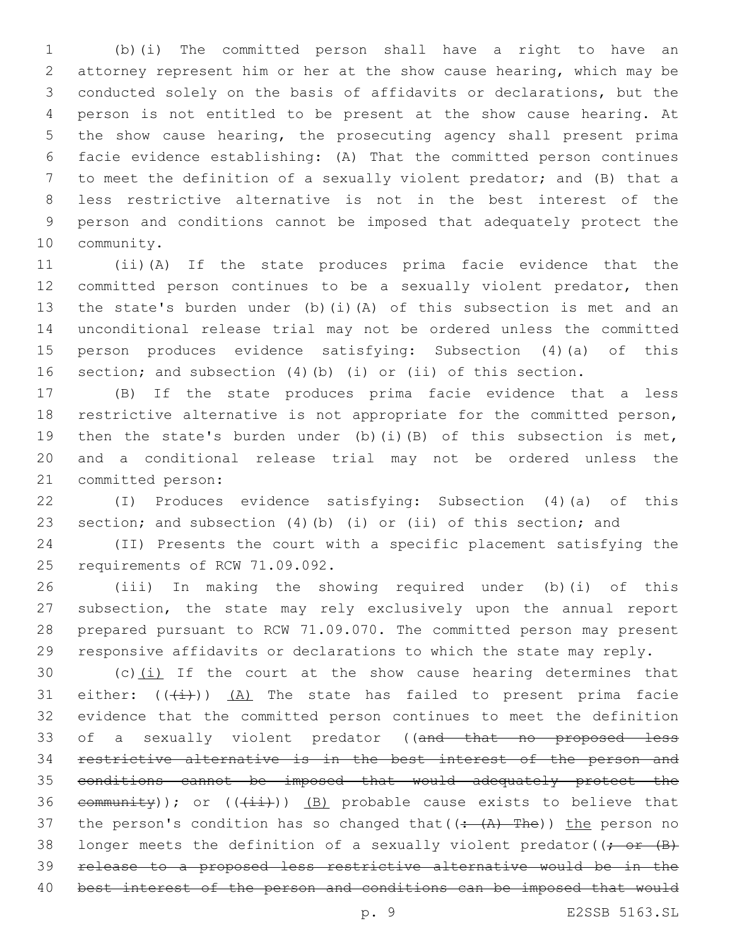(b)(i) The committed person shall have a right to have an attorney represent him or her at the show cause hearing, which may be conducted solely on the basis of affidavits or declarations, but the person is not entitled to be present at the show cause hearing. At the show cause hearing, the prosecuting agency shall present prima facie evidence establishing: (A) That the committed person continues to meet the definition of a sexually violent predator; and (B) that a less restrictive alternative is not in the best interest of the person and conditions cannot be imposed that adequately protect the 10 community.

 (ii)(A) If the state produces prima facie evidence that the committed person continues to be a sexually violent predator, then the state's burden under (b)(i)(A) of this subsection is met and an unconditional release trial may not be ordered unless the committed person produces evidence satisfying: Subsection (4)(a) of this section; and subsection (4)(b) (i) or (ii) of this section.

 (B) If the state produces prima facie evidence that a less restrictive alternative is not appropriate for the committed person, then the state's burden under (b)(i)(B) of this subsection is met, and a conditional release trial may not be ordered unless the 21 committed person:

 (I) Produces evidence satisfying: Subsection (4)(a) of this section; and subsection (4)(b) (i) or (ii) of this section; and

 (II) Presents the court with a specific placement satisfying the 25 requirements of RCW 71.09.092.

 (iii) In making the showing required under (b)(i) of this subsection, the state may rely exclusively upon the annual report prepared pursuant to RCW 71.09.070. The committed person may present responsive affidavits or declarations to which the state may reply.

30 (c) $(i)$  If the court at the show cause hearing determines that 31 either:  $((\overleftrightarrow{+}))$  (A) The state has failed to present prima facie evidence that the committed person continues to meet the definition 33 of a sexually violent predator ((and that no proposed less restrictive alternative is in the best interest of the person and conditions cannot be imposed that would adequately protect the 36 community)); or  $((\pm i)^2)$  (B) probable cause exists to believe that 37 the person's condition has so changed that  $((\div(A)-The))$  the person no 38 longer meets the definition of a sexually violent predator( $\rightarrow$   $\rightarrow$   $\rightarrow$  release to a proposed less restrictive alternative would be in the best interest of the person and conditions can be imposed that would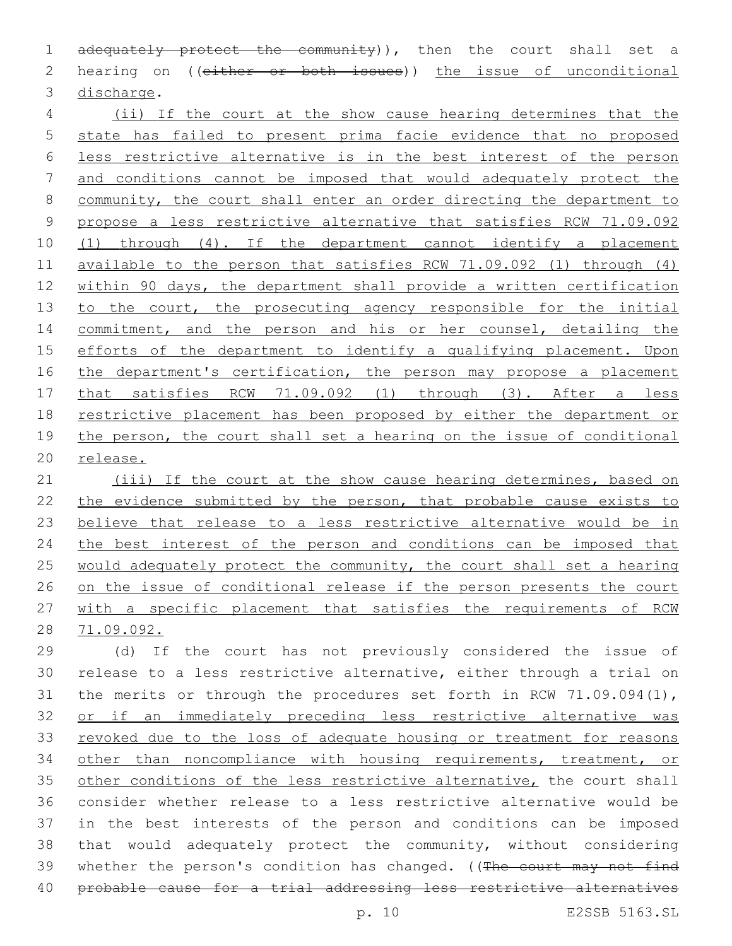1 adequately protect the community)), then the court shall set a 2 hearing on ((either or both issues)) the issue of unconditional 3 discharge.

 (ii) If the court at the show cause hearing determines that the state has failed to present prima facie evidence that no proposed less restrictive alternative is in the best interest of the person and conditions cannot be imposed that would adequately protect the community, the court shall enter an order directing the department to propose a less restrictive alternative that satisfies RCW 71.09.092 (1) through (4). If the department cannot identify a placement available to the person that satisfies RCW 71.09.092 (1) through (4) 12 within 90 days, the department shall provide a written certification 13 to the court, the prosecuting agency responsible for the initial 14 commitment, and the person and his or her counsel, detailing the 15 efforts of the department to identify a qualifying placement. Upon 16 the department's certification, the person may propose a placement that satisfies RCW 71.09.092 (1) through (3). After a less restrictive placement has been proposed by either the department or the person, the court shall set a hearing on the issue of conditional release.

 (iii) If the court at the show cause hearing determines, based on 22 the evidence submitted by the person, that probable cause exists to believe that release to a less restrictive alternative would be in 24 the best interest of the person and conditions can be imposed that would adequately protect the community, the court shall set a hearing on the issue of conditional release if the person presents the court with a specific placement that satisfies the requirements of RCW 71.09.092.

 (d) If the court has not previously considered the issue of release to a less restrictive alternative, either through a trial on 31 the merits or through the procedures set forth in RCW 71.09.094(1), or if an immediately preceding less restrictive alternative was revoked due to the loss of adequate housing or treatment for reasons other than noncompliance with housing requirements, treatment, or 35 other conditions of the less restrictive alternative, the court shall consider whether release to a less restrictive alternative would be in the best interests of the person and conditions can be imposed that would adequately protect the community, without considering 39 whether the person's condition has changed. ((The court may not find 40 probable cause for a trial addressing less restrictive alternatives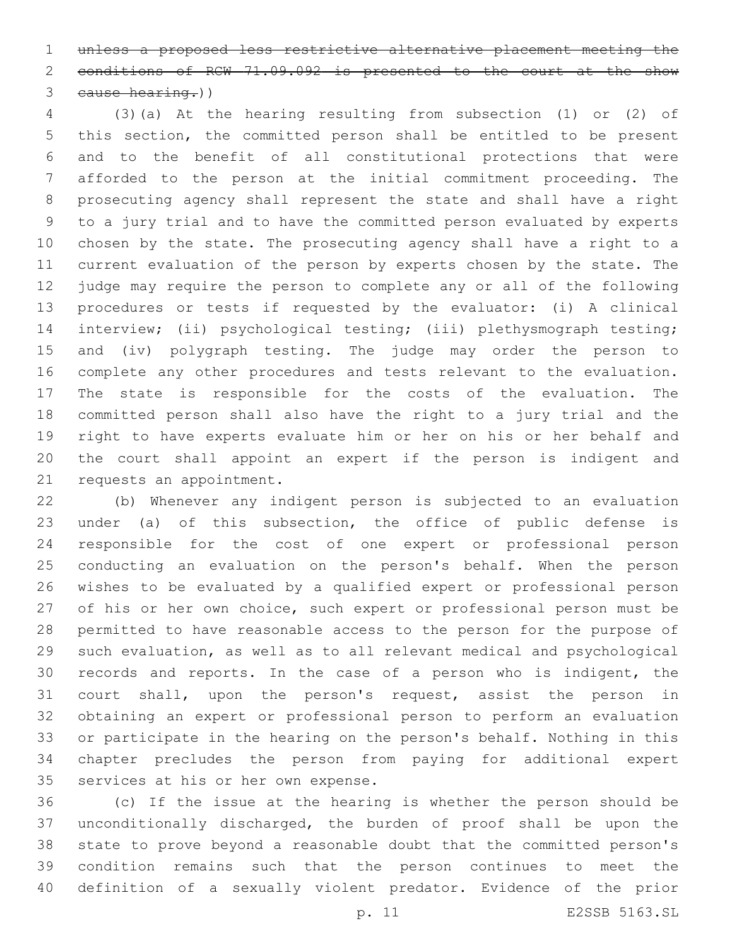unless a proposed less restrictive alternative placement meeting the conditions of RCW 71.09.092 is presented to the court at the show cause hearing.))

 (3)(a) At the hearing resulting from subsection (1) or (2) of this section, the committed person shall be entitled to be present and to the benefit of all constitutional protections that were afforded to the person at the initial commitment proceeding. The prosecuting agency shall represent the state and shall have a right to a jury trial and to have the committed person evaluated by experts chosen by the state. The prosecuting agency shall have a right to a current evaluation of the person by experts chosen by the state. The judge may require the person to complete any or all of the following procedures or tests if requested by the evaluator: (i) A clinical 14 interview; (ii) psychological testing; (iii) plethysmograph testing; and (iv) polygraph testing. The judge may order the person to complete any other procedures and tests relevant to the evaluation. The state is responsible for the costs of the evaluation. The committed person shall also have the right to a jury trial and the right to have experts evaluate him or her on his or her behalf and the court shall appoint an expert if the person is indigent and 21 requests an appointment.

 (b) Whenever any indigent person is subjected to an evaluation under (a) of this subsection, the office of public defense is responsible for the cost of one expert or professional person conducting an evaluation on the person's behalf. When the person wishes to be evaluated by a qualified expert or professional person 27 of his or her own choice, such expert or professional person must be permitted to have reasonable access to the person for the purpose of such evaluation, as well as to all relevant medical and psychological records and reports. In the case of a person who is indigent, the court shall, upon the person's request, assist the person in obtaining an expert or professional person to perform an evaluation or participate in the hearing on the person's behalf. Nothing in this chapter precludes the person from paying for additional expert 35 services at his or her own expense.

 (c) If the issue at the hearing is whether the person should be unconditionally discharged, the burden of proof shall be upon the state to prove beyond a reasonable doubt that the committed person's condition remains such that the person continues to meet the definition of a sexually violent predator. Evidence of the prior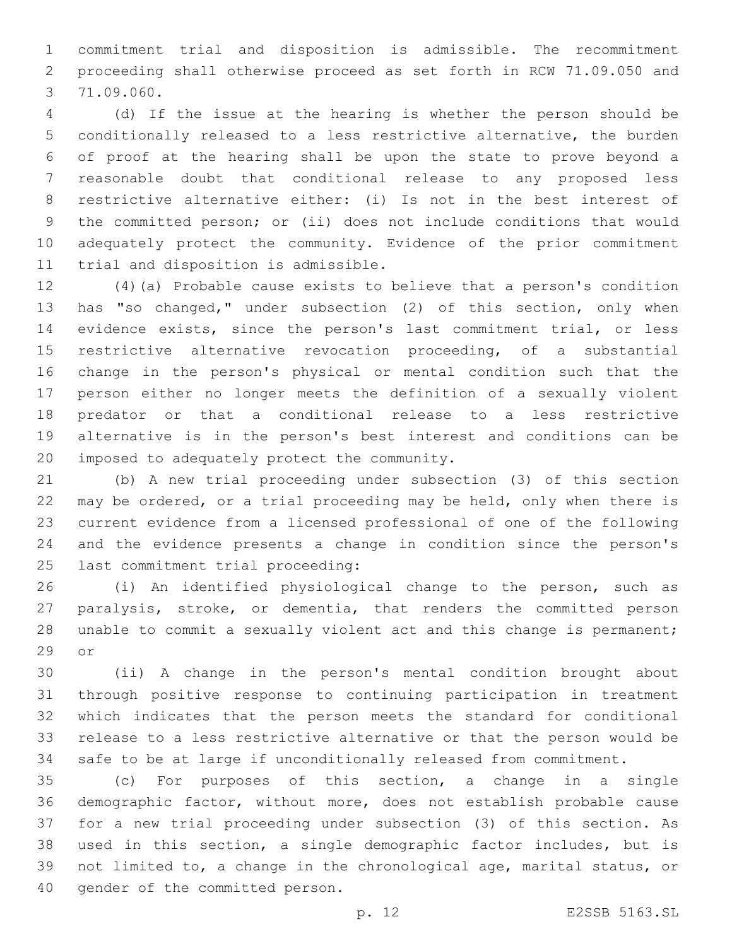commitment trial and disposition is admissible. The recommitment proceeding shall otherwise proceed as set forth in RCW 71.09.050 and 71.09.060.3

 (d) If the issue at the hearing is whether the person should be conditionally released to a less restrictive alternative, the burden of proof at the hearing shall be upon the state to prove beyond a reasonable doubt that conditional release to any proposed less restrictive alternative either: (i) Is not in the best interest of the committed person; or (ii) does not include conditions that would adequately protect the community. Evidence of the prior commitment 11 trial and disposition is admissible.

 (4)(a) Probable cause exists to believe that a person's condition has "so changed," under subsection (2) of this section, only when evidence exists, since the person's last commitment trial, or less restrictive alternative revocation proceeding, of a substantial change in the person's physical or mental condition such that the person either no longer meets the definition of a sexually violent predator or that a conditional release to a less restrictive alternative is in the person's best interest and conditions can be 20 imposed to adequately protect the community.

 (b) A new trial proceeding under subsection (3) of this section may be ordered, or a trial proceeding may be held, only when there is current evidence from a licensed professional of one of the following and the evidence presents a change in condition since the person's 25 last commitment trial proceeding:

 (i) An identified physiological change to the person, such as paralysis, stroke, or dementia, that renders the committed person unable to commit a sexually violent act and this change is permanent; 29 or

 (ii) A change in the person's mental condition brought about through positive response to continuing participation in treatment which indicates that the person meets the standard for conditional release to a less restrictive alternative or that the person would be safe to be at large if unconditionally released from commitment.

 (c) For purposes of this section, a change in a single demographic factor, without more, does not establish probable cause for a new trial proceeding under subsection (3) of this section. As used in this section, a single demographic factor includes, but is not limited to, a change in the chronological age, marital status, or 40 gender of the committed person.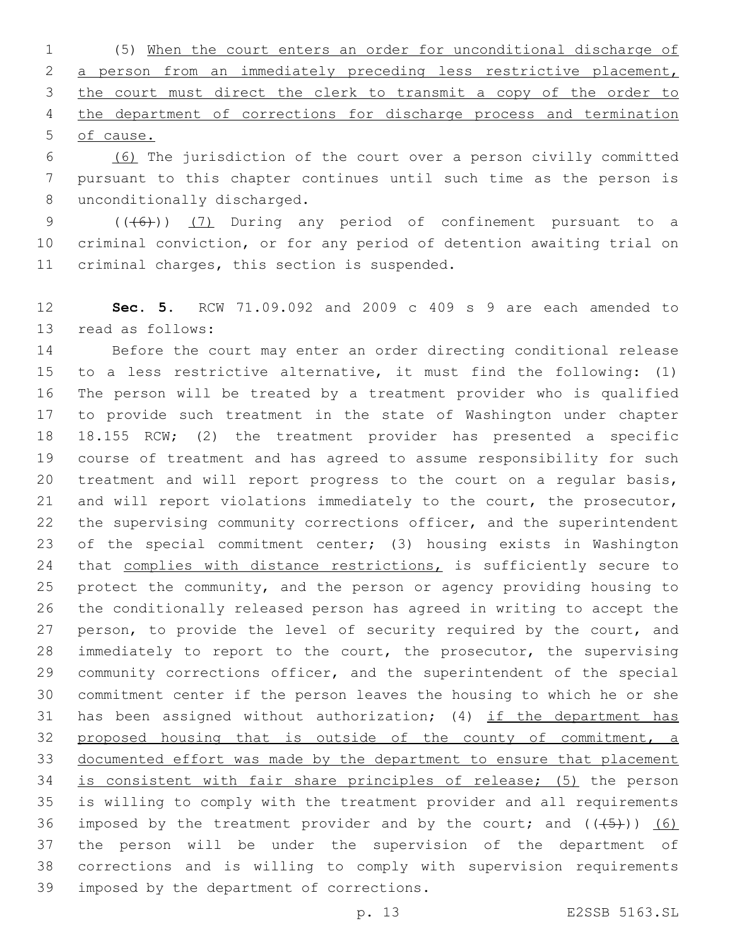(5) When the court enters an order for unconditional discharge of 2 a person from an immediately preceding less restrictive placement, 3 the court must direct the clerk to transmit a copy of the order to 4 the department of corrections for discharge process and termination of cause.

 (6) The jurisdiction of the court over a person civilly committed pursuant to this chapter continues until such time as the person is 8 unconditionally discharged.

9 (((6)) (7) During any period of confinement pursuant to a criminal conviction, or for any period of detention awaiting trial on 11 criminal charges, this section is suspended.

 **Sec. 5.** RCW 71.09.092 and 2009 c 409 s 9 are each amended to 13 read as follows:

 Before the court may enter an order directing conditional release to a less restrictive alternative, it must find the following: (1) The person will be treated by a treatment provider who is qualified to provide such treatment in the state of Washington under chapter 18.155 RCW; (2) the treatment provider has presented a specific course of treatment and has agreed to assume responsibility for such treatment and will report progress to the court on a regular basis, and will report violations immediately to the court, the prosecutor, the supervising community corrections officer, and the superintendent of the special commitment center; (3) housing exists in Washington 24 that complies with distance restrictions, is sufficiently secure to protect the community, and the person or agency providing housing to the conditionally released person has agreed in writing to accept the 27 person, to provide the level of security required by the court, and immediately to report to the court, the prosecutor, the supervising community corrections officer, and the superintendent of the special commitment center if the person leaves the housing to which he or she has been assigned without authorization; (4) if the department has proposed housing that is outside of the county of commitment, a documented effort was made by the department to ensure that placement 34 is consistent with fair share principles of release; (5) the person is willing to comply with the treatment provider and all requirements 36 imposed by the treatment provider and by the court; and  $((+5+))$  (6) the person will be under the supervision of the department of corrections and is willing to comply with supervision requirements 39 imposed by the department of corrections.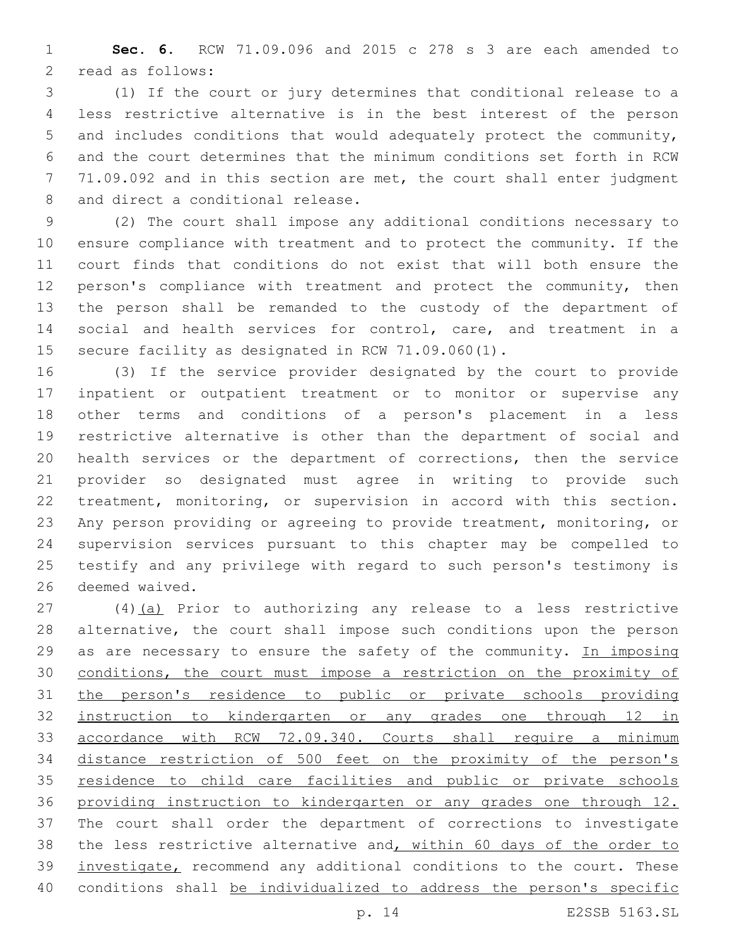**Sec. 6.** RCW 71.09.096 and 2015 c 278 s 3 are each amended to 2 read as follows:

 (1) If the court or jury determines that conditional release to a less restrictive alternative is in the best interest of the person and includes conditions that would adequately protect the community, and the court determines that the minimum conditions set forth in RCW 71.09.092 and in this section are met, the court shall enter judgment 8 and direct a conditional release.

 (2) The court shall impose any additional conditions necessary to ensure compliance with treatment and to protect the community. If the court finds that conditions do not exist that will both ensure the person's compliance with treatment and protect the community, then the person shall be remanded to the custody of the department of social and health services for control, care, and treatment in a secure facility as designated in RCW 71.09.060(1).

 (3) If the service provider designated by the court to provide inpatient or outpatient treatment or to monitor or supervise any other terms and conditions of a person's placement in a less restrictive alternative is other than the department of social and health services or the department of corrections, then the service provider so designated must agree in writing to provide such treatment, monitoring, or supervision in accord with this section. Any person providing or agreeing to provide treatment, monitoring, or supervision services pursuant to this chapter may be compelled to testify and any privilege with regard to such person's testimony is 26 deemed waived.

 (4)(a) Prior to authorizing any release to a less restrictive alternative, the court shall impose such conditions upon the person 29 as are necessary to ensure the safety of the community. In imposing conditions, the court must impose a restriction on the proximity of the person's residence to public or private schools providing instruction to kindergarten or any grades one through 12 in 33 accordance with RCW 72.09.340. Courts shall require a minimum distance restriction of 500 feet on the proximity of the person's residence to child care facilities and public or private schools providing instruction to kindergarten or any grades one through 12. The court shall order the department of corrections to investigate 38 the less restrictive alternative and, within 60 days of the order to 39 investigate, recommend any additional conditions to the court. These conditions shall be individualized to address the person's specific

p. 14 E2SSB 5163.SL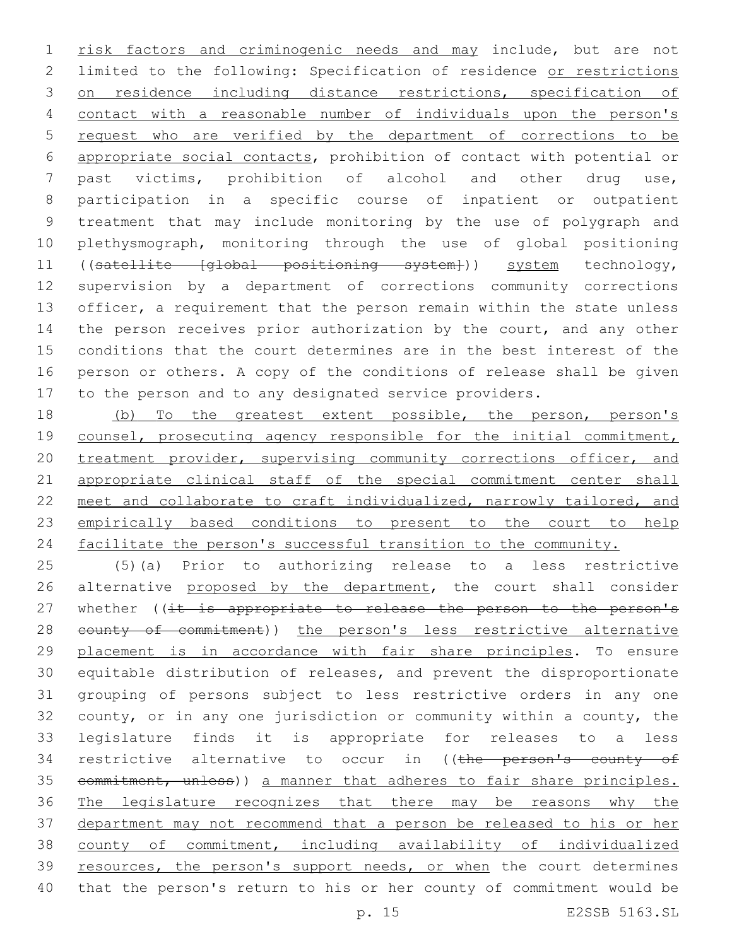1 risk factors and criminogenic needs and may include, but are not limited to the following: Specification of residence or restrictions on residence including distance restrictions, specification of 4 contact with a reasonable number of individuals upon the person's request who are verified by the department of corrections to be appropriate social contacts, prohibition of contact with potential or past victims, prohibition of alcohol and other drug use, participation in a specific course of inpatient or outpatient treatment that may include monitoring by the use of polygraph and plethysmograph, monitoring through the use of global positioning 11 ((satellite [global positioning system])) system technology, supervision by a department of corrections community corrections 13 officer, a requirement that the person remain within the state unless 14 the person receives prior authorization by the court, and any other conditions that the court determines are in the best interest of the person or others. A copy of the conditions of release shall be given to the person and to any designated service providers.

18 (b) To the greatest extent possible, the person, person's 19 counsel, prosecuting agency responsible for the initial commitment, 20 treatment provider, supervising community corrections officer, and 21 appropriate clinical staff of the special commitment center shall 22 meet and collaborate to craft individualized, narrowly tailored, and 23 empirically based conditions to present to the court to help 24 facilitate the person's successful transition to the community.

 (5)(a) Prior to authorizing release to a less restrictive 26 alternative proposed by the department, the court shall consider 27 whether ((it is appropriate to release the person to the person's 28 county of commitment)) the person's less restrictive alternative placement is in accordance with fair share principles. To ensure equitable distribution of releases, and prevent the disproportionate grouping of persons subject to less restrictive orders in any one county, or in any one jurisdiction or community within a county, the legislature finds it is appropriate for releases to a less 34 restrictive alternative to occur in ((the person's county of 35 commitment, unless)) a manner that adheres to fair share principles. The legislature recognizes that there may be reasons why the department may not recommend that a person be released to his or her county of commitment, including availability of individualized 39 resources, the person's support needs, or when the court determines that the person's return to his or her county of commitment would be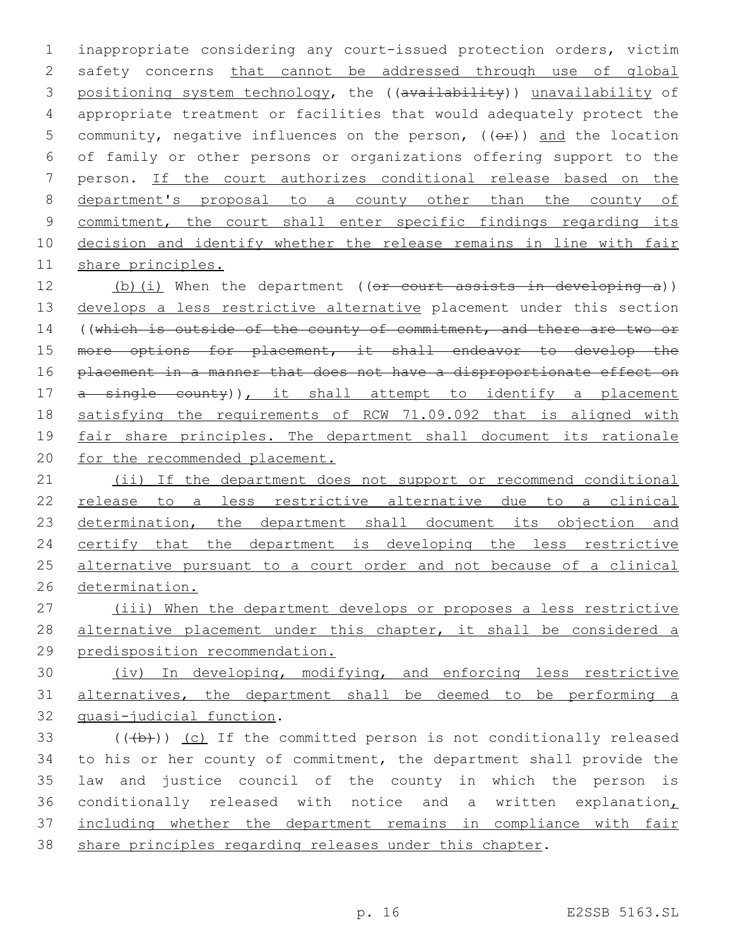inappropriate considering any court-issued protection orders, victim safety concerns that cannot be addressed through use of global 3 positioning system technology, the ((availability)) unavailability of appropriate treatment or facilities that would adequately protect the 5 community, negative influences on the person,  $((\theta \hat{r}))$  and the location of family or other persons or organizations offering support to the person. If the court authorizes conditional release based on the department's proposal to a county other than the county of 9 commitment, the court shall enter specific findings regarding its decision and identify whether the release remains in line with fair share principles.

12 (b)(i) When the department ((or court assists in developing a)) 13 develops a less restrictive alternative placement under this section 14 ((which is outside of the county of commitment, and there are two or 15 more options for placement, it shall endeavor to develop the 16 placement in a manner that does not have a disproportionate effect on 17 a single county)), it shall attempt to identify a placement 18 satisfying the requirements of RCW 71.09.092 that is aligned with 19 fair share principles. The department shall document its rationale 20 for the recommended placement.

 (ii) If the department does not support or recommend conditional release to a less restrictive alternative due to a clinical 23 determination, the department shall document its objection and 24 certify that the department is developing the less restrictive alternative pursuant to a court order and not because of a clinical determination.

27 (iii) When the department develops or proposes a less restrictive 28 alternative placement under this chapter, it shall be considered a 29 predisposition recommendation.

30 (iv) In developing, modifying, and enforcing less restrictive 31 alternatives, the department shall be deemed to be performing a 32 quasi-judicial function.

 $($   $($   $($   $($   $+$   $b$  $)$   $)$   $($   $c)$  If the committed person is not conditionally released 34 to his or her county of commitment, the department shall provide the 35 law and justice council of the county in which the person is 36 conditionally released with notice and a written explanation, 37 including whether the department remains in compliance with fair 38 share principles regarding releases under this chapter.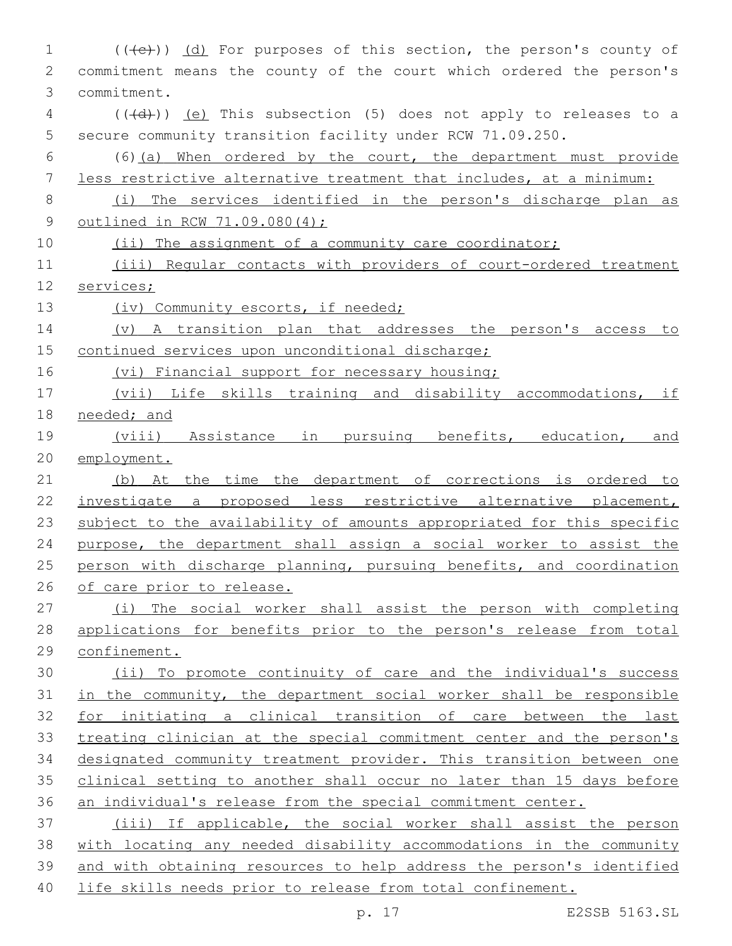1 (((+e))) (d) For purposes of this section, the person's county of commitment means the county of the court which ordered the person's commitment.3 4 (((d))) (e) This subsection (5) does not apply to releases to a secure community transition facility under RCW 71.09.250. (6)(a) When ordered by the court, the department must provide less restrictive alternative treatment that includes, at a minimum: (i) The services identified in the person's discharge plan as outlined in RCW 71.09.080(4); 10 (ii) The assignment of a community care coordinator; (iii) Regular contacts with providers of court-ordered treatment services; 13 (iv) Community escorts, if needed; (v) A transition plan that addresses the person's access to continued services upon unconditional discharge; 16 (vi) Financial support for necessary housing; (vii) Life skills training and disability accommodations, if 18 needed; and (viii) Assistance in pursuing benefits, education, and employment. (b) At the time the department of corrections is ordered to investigate a proposed less restrictive alternative placement, 23 subject to the availability of amounts appropriated for this specific purpose, the department shall assign a social worker to assist the person with discharge planning, pursuing benefits, and coordination of care prior to release. (i) The social worker shall assist the person with completing applications for benefits prior to the person's release from total 29 confinement. (ii) To promote continuity of care and the individual's success in the community, the department social worker shall be responsible for initiating a clinical transition of care between the last treating clinician at the special commitment center and the person's designated community treatment provider. This transition between one clinical setting to another shall occur no later than 15 days before an individual's release from the special commitment center. (iii) If applicable, the social worker shall assist the person with locating any needed disability accommodations in the community and with obtaining resources to help address the person's identified life skills needs prior to release from total confinement.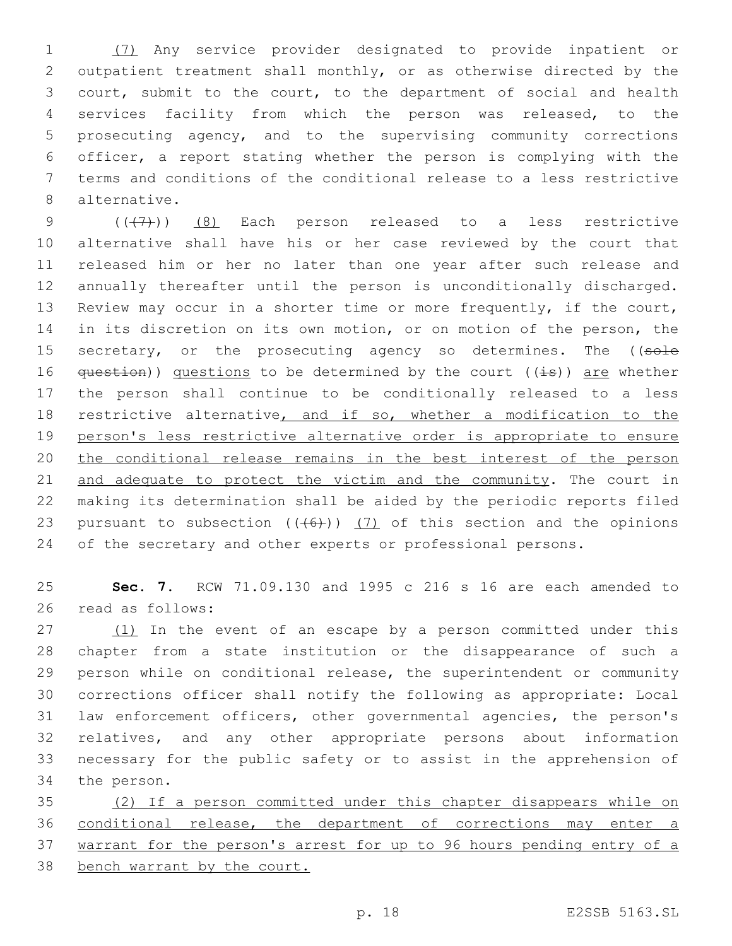(7) Any service provider designated to provide inpatient or outpatient treatment shall monthly, or as otherwise directed by the court, submit to the court, to the department of social and health services facility from which the person was released, to the prosecuting agency, and to the supervising community corrections officer, a report stating whether the person is complying with the terms and conditions of the conditional release to a less restrictive 8 alternative.

 $((+7)$ )  $(8)$  Each person released to a less restrictive alternative shall have his or her case reviewed by the court that released him or her no later than one year after such release and annually thereafter until the person is unconditionally discharged. Review may occur in a shorter time or more frequently, if the court, in its discretion on its own motion, or on motion of the person, the 15 secretary, or the prosecuting agency so determines. The ((sole  $question()$  questions to be determined by the court  $((\pm s))$  are whether the person shall continue to be conditionally released to a less 18 restrictive alternative, and if so, whether a modification to the person's less restrictive alternative order is appropriate to ensure the conditional release remains in the best interest of the person 21 and adequate to protect the victim and the community. The court in making its determination shall be aided by the periodic reports filed 23 pursuant to subsection  $((+6))$   $(7)$  of this section and the opinions 24 of the secretary and other experts or professional persons.

 **Sec. 7.** RCW 71.09.130 and 1995 c 216 s 16 are each amended to 26 read as follows:

27 (1) In the event of an escape by a person committed under this chapter from a state institution or the disappearance of such a person while on conditional release, the superintendent or community corrections officer shall notify the following as appropriate: Local law enforcement officers, other governmental agencies, the person's relatives, and any other appropriate persons about information necessary for the public safety or to assist in the apprehension of 34 the person.

 (2) If a person committed under this chapter disappears while on conditional release, the department of corrections may enter a warrant for the person's arrest for up to 96 hours pending entry of a bench warrant by the court.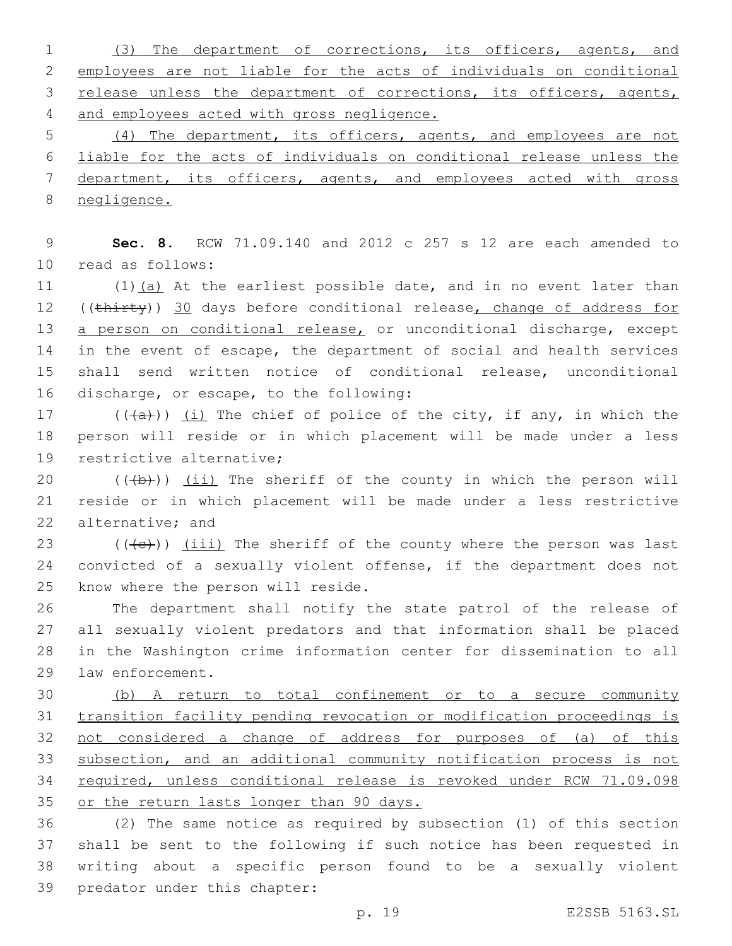(3) The department of corrections, its officers, agents, and employees are not liable for the acts of individuals on conditional 3 release unless the department of corrections, its officers, agents, and employees acted with gross negligence.

 (4) The department, its officers, agents, and employees are not liable for the acts of individuals on conditional release unless the department, its officers, agents, and employees acted with gross negligence.

9 **Sec. 8.** RCW 71.09.140 and 2012 c 257 s 12 are each amended to 10 read as follows:

11  $(1)(a)$  At the earliest possible date, and in no event later than 12 ((thirty)) 30 days before conditional release, change of address for 13 a person on conditional release, or unconditional discharge, except 14 in the event of escape, the department of social and health services 15 shall send written notice of conditional release, unconditional 16 discharge, or escape, to the following:

17  $((+a))$   $(i)$  The chief of police of the city, if any, in which the 18 person will reside or in which placement will be made under a less 19 restrictive alternative;

20  $((+b))$   $(ii)$  The sheriff of the county in which the person will 21 reside or in which placement will be made under a less restrictive 22 alternative; and

23  $((+e))$   $(iii)$  The sheriff of the county where the person was last 24 convicted of a sexually violent offense, if the department does not 25 know where the person will reside.

 The department shall notify the state patrol of the release of all sexually violent predators and that information shall be placed in the Washington crime information center for dissemination to all 29 law enforcement.

 (b) A return to total confinement or to a secure community transition facility pending revocation or modification proceedings is 32 not considered a change of address for purposes of (a) of this subsection, and an additional community notification process is not required, unless conditional release is revoked under RCW 71.09.098 35 or the return lasts longer than 90 days.

 (2) The same notice as required by subsection (1) of this section shall be sent to the following if such notice has been requested in writing about a specific person found to be a sexually violent 39 predator under this chapter: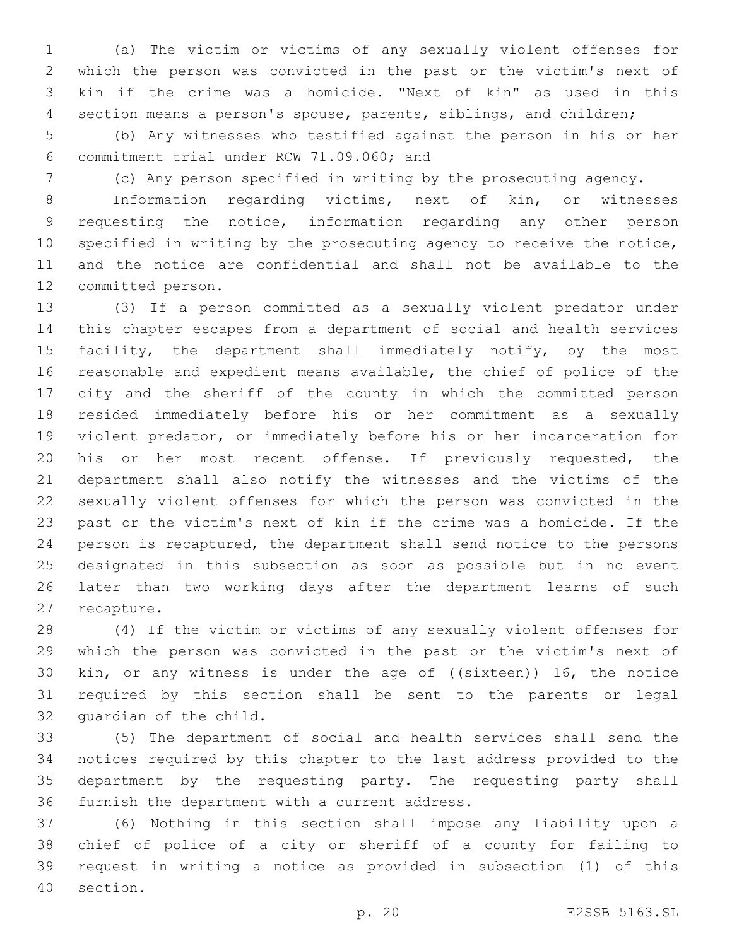(a) The victim or victims of any sexually violent offenses for which the person was convicted in the past or the victim's next of kin if the crime was a homicide. "Next of kin" as used in this section means a person's spouse, parents, siblings, and children;

 (b) Any witnesses who testified against the person in his or her commitment trial under RCW 71.09.060; and6

(c) Any person specified in writing by the prosecuting agency.

 Information regarding victims, next of kin, or witnesses requesting the notice, information regarding any other person specified in writing by the prosecuting agency to receive the notice, and the notice are confidential and shall not be available to the 12 committed person.

 (3) If a person committed as a sexually violent predator under this chapter escapes from a department of social and health services 15 facility, the department shall immediately notify, by the most reasonable and expedient means available, the chief of police of the city and the sheriff of the county in which the committed person resided immediately before his or her commitment as a sexually violent predator, or immediately before his or her incarceration for his or her most recent offense. If previously requested, the department shall also notify the witnesses and the victims of the sexually violent offenses for which the person was convicted in the past or the victim's next of kin if the crime was a homicide. If the person is recaptured, the department shall send notice to the persons designated in this subsection as soon as possible but in no event later than two working days after the department learns of such 27 recapture.

 (4) If the victim or victims of any sexually violent offenses for which the person was convicted in the past or the victim's next of 30 kin, or any witness is under the age of  $((\text{sixteen}))$  16, the notice required by this section shall be sent to the parents or legal 32 quardian of the child.

 (5) The department of social and health services shall send the notices required by this chapter to the last address provided to the department by the requesting party. The requesting party shall 36 furnish the department with a current address.

 (6) Nothing in this section shall impose any liability upon a chief of police of a city or sheriff of a county for failing to request in writing a notice as provided in subsection (1) of this 40 section.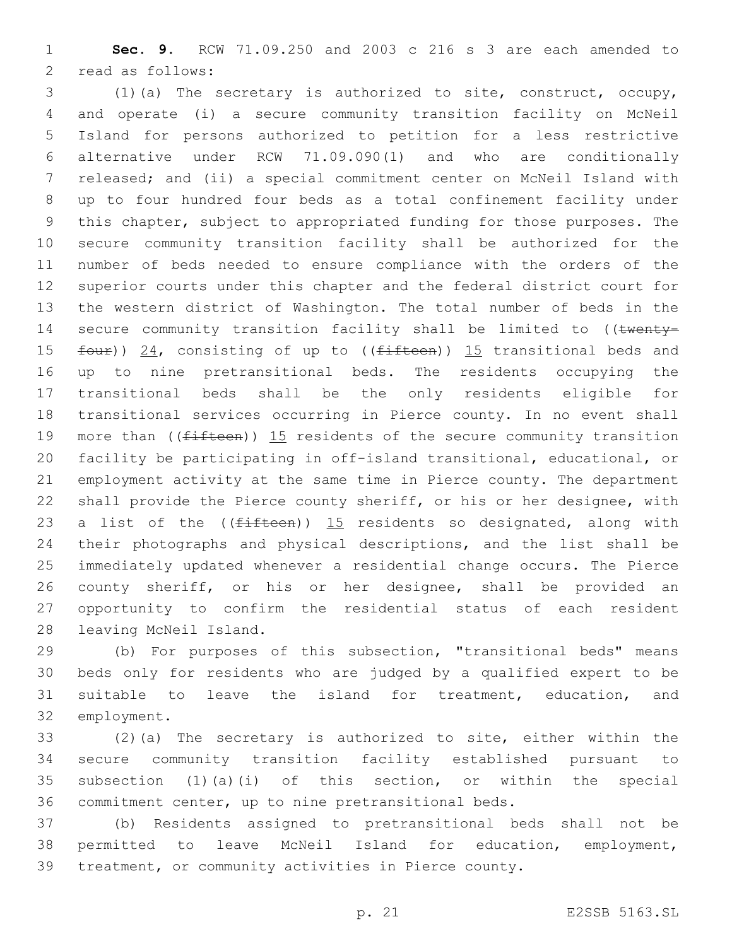**Sec. 9.** RCW 71.09.250 and 2003 c 216 s 3 are each amended to 2 read as follows:

 (1)(a) The secretary is authorized to site, construct, occupy, and operate (i) a secure community transition facility on McNeil Island for persons authorized to petition for a less restrictive alternative under RCW 71.09.090(1) and who are conditionally released; and (ii) a special commitment center on McNeil Island with up to four hundred four beds as a total confinement facility under this chapter, subject to appropriated funding for those purposes. The secure community transition facility shall be authorized for the number of beds needed to ensure compliance with the orders of the superior courts under this chapter and the federal district court for the western district of Washington. The total number of beds in the 14 secure community transition facility shall be limited to ((twenty-15 four)) 24, consisting of up to ((fifteen)) 15 transitional beds and up to nine pretransitional beds. The residents occupying the transitional beds shall be the only residents eligible for transitional services occurring in Pierce county. In no event shall 19 more than ((fifteen)) 15 residents of the secure community transition facility be participating in off-island transitional, educational, or employment activity at the same time in Pierce county. The department shall provide the Pierce county sheriff, or his or her designee, with 23 a list of the  $($ ( $f$ ifteen)) 15 residents so designated, along with their photographs and physical descriptions, and the list shall be immediately updated whenever a residential change occurs. The Pierce county sheriff, or his or her designee, shall be provided an opportunity to confirm the residential status of each resident 28 leaving McNeil Island.

 (b) For purposes of this subsection, "transitional beds" means beds only for residents who are judged by a qualified expert to be suitable to leave the island for treatment, education, and 32 employment.

 (2)(a) The secretary is authorized to site, either within the secure community transition facility established pursuant to subsection (1)(a)(i) of this section, or within the special commitment center, up to nine pretransitional beds.

 (b) Residents assigned to pretransitional beds shall not be permitted to leave McNeil Island for education, employment, treatment, or community activities in Pierce county.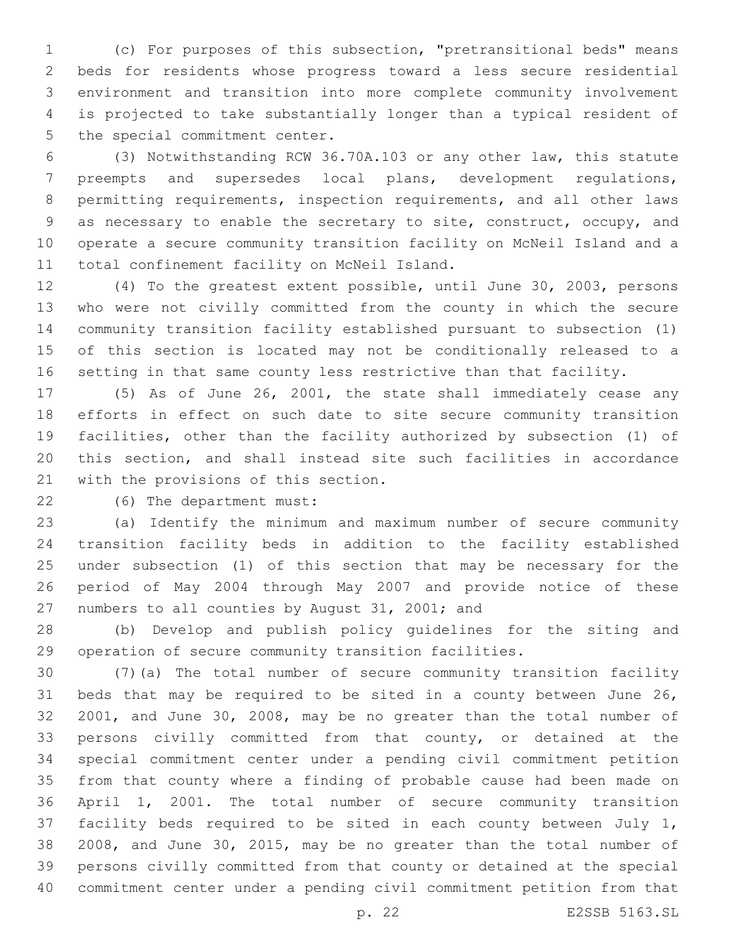(c) For purposes of this subsection, "pretransitional beds" means beds for residents whose progress toward a less secure residential environment and transition into more complete community involvement is projected to take substantially longer than a typical resident of 5 the special commitment center.

 (3) Notwithstanding RCW 36.70A.103 or any other law, this statute preempts and supersedes local plans, development regulations, permitting requirements, inspection requirements, and all other laws as necessary to enable the secretary to site, construct, occupy, and operate a secure community transition facility on McNeil Island and a 11 total confinement facility on McNeil Island.

 (4) To the greatest extent possible, until June 30, 2003, persons who were not civilly committed from the county in which the secure community transition facility established pursuant to subsection (1) of this section is located may not be conditionally released to a setting in that same county less restrictive than that facility.

 (5) As of June 26, 2001, the state shall immediately cease any efforts in effect on such date to site secure community transition facilities, other than the facility authorized by subsection (1) of this section, and shall instead site such facilities in accordance 21 with the provisions of this section.

(6) The department must:22

 (a) Identify the minimum and maximum number of secure community transition facility beds in addition to the facility established under subsection (1) of this section that may be necessary for the period of May 2004 through May 2007 and provide notice of these 27 numbers to all counties by August 31, 2001; and

 (b) Develop and publish policy guidelines for the siting and operation of secure community transition facilities.

 (7)(a) The total number of secure community transition facility beds that may be required to be sited in a county between June 26, 2001, and June 30, 2008, may be no greater than the total number of persons civilly committed from that county, or detained at the special commitment center under a pending civil commitment petition from that county where a finding of probable cause had been made on April 1, 2001. The total number of secure community transition facility beds required to be sited in each county between July 1, 2008, and June 30, 2015, may be no greater than the total number of persons civilly committed from that county or detained at the special commitment center under a pending civil commitment petition from that

p. 22 E2SSB 5163.SL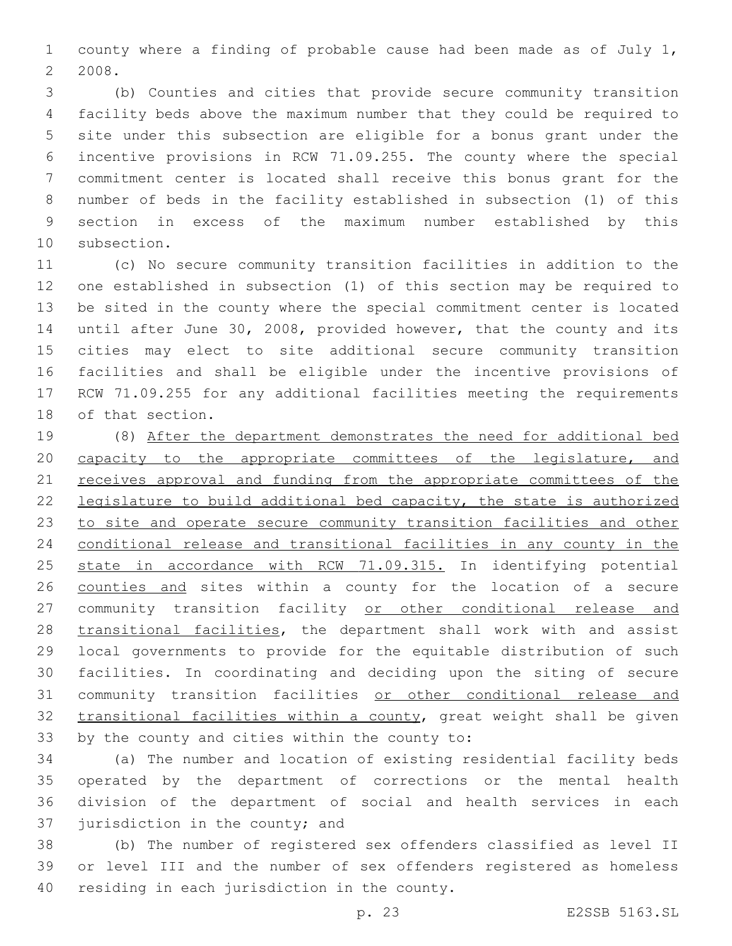county where a finding of probable cause had been made as of July 1, 2008.

 (b) Counties and cities that provide secure community transition facility beds above the maximum number that they could be required to site under this subsection are eligible for a bonus grant under the incentive provisions in RCW 71.09.255. The county where the special commitment center is located shall receive this bonus grant for the number of beds in the facility established in subsection (1) of this section in excess of the maximum number established by this 10 subsection.

 (c) No secure community transition facilities in addition to the one established in subsection (1) of this section may be required to be sited in the county where the special commitment center is located until after June 30, 2008, provided however, that the county and its cities may elect to site additional secure community transition facilities and shall be eligible under the incentive provisions of RCW 71.09.255 for any additional facilities meeting the requirements 18 of that section.

 (8) After the department demonstrates the need for additional bed 20 capacity to the appropriate committees of the legislature, and 21 receives approval and funding from the appropriate committees of the legislature to build additional bed capacity, the state is authorized to site and operate secure community transition facilities and other conditional release and transitional facilities in any county in the state in accordance with RCW 71.09.315. In identifying potential counties and sites within a county for the location of a secure 27 community transition facility or other conditional release and 28 transitional facilities, the department shall work with and assist local governments to provide for the equitable distribution of such facilities. In coordinating and deciding upon the siting of secure community transition facilities or other conditional release and transitional facilities within a county, great weight shall be given 33 by the county and cities within the county to:

 (a) The number and location of existing residential facility beds operated by the department of corrections or the mental health division of the department of social and health services in each jurisdiction in the county; and

 (b) The number of registered sex offenders classified as level II or level III and the number of sex offenders registered as homeless 40 residing in each jurisdiction in the county.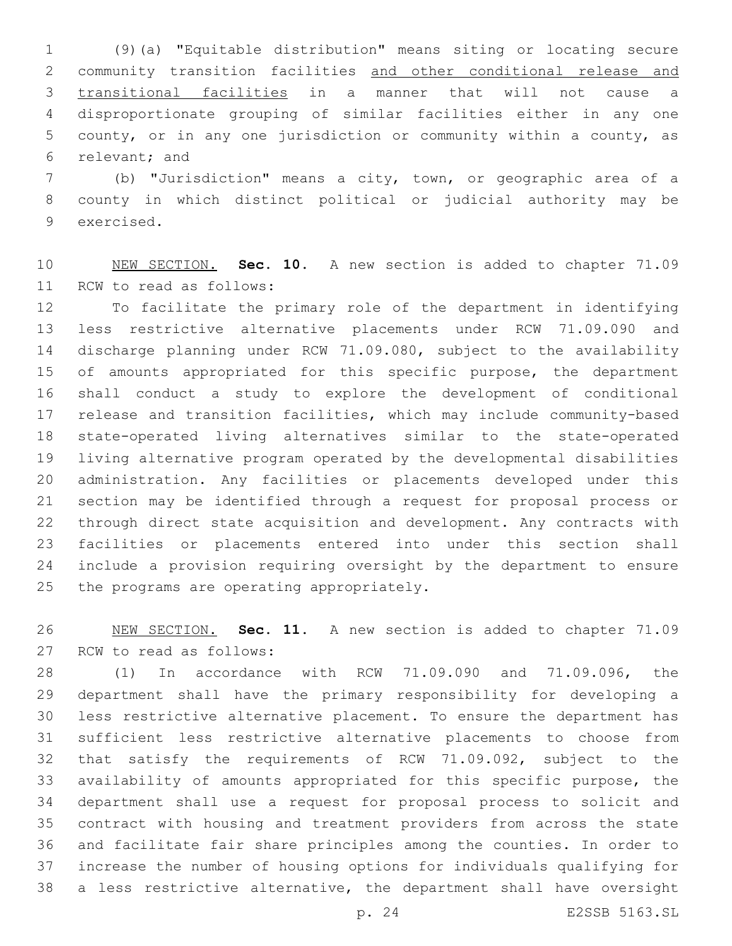(9)(a) "Equitable distribution" means siting or locating secure community transition facilities and other conditional release and transitional facilities in a manner that will not cause a disproportionate grouping of similar facilities either in any one county, or in any one jurisdiction or community within a county, as 6 relevant; and

 (b) "Jurisdiction" means a city, town, or geographic area of a county in which distinct political or judicial authority may be 9 exercised.

 NEW SECTION. **Sec. 10.** A new section is added to chapter 71.09 11 RCW to read as follows:

 To facilitate the primary role of the department in identifying less restrictive alternative placements under RCW 71.09.090 and discharge planning under RCW 71.09.080, subject to the availability 15 of amounts appropriated for this specific purpose, the department shall conduct a study to explore the development of conditional release and transition facilities, which may include community-based state-operated living alternatives similar to the state-operated living alternative program operated by the developmental disabilities administration. Any facilities or placements developed under this section may be identified through a request for proposal process or through direct state acquisition and development. Any contracts with facilities or placements entered into under this section shall include a provision requiring oversight by the department to ensure 25 the programs are operating appropriately.

 NEW SECTION. **Sec. 11.** A new section is added to chapter 71.09 27 RCW to read as follows:

 (1) In accordance with RCW 71.09.090 and 71.09.096, the department shall have the primary responsibility for developing a less restrictive alternative placement. To ensure the department has sufficient less restrictive alternative placements to choose from that satisfy the requirements of RCW 71.09.092, subject to the availability of amounts appropriated for this specific purpose, the department shall use a request for proposal process to solicit and contract with housing and treatment providers from across the state and facilitate fair share principles among the counties. In order to increase the number of housing options for individuals qualifying for a less restrictive alternative, the department shall have oversight

p. 24 E2SSB 5163.SL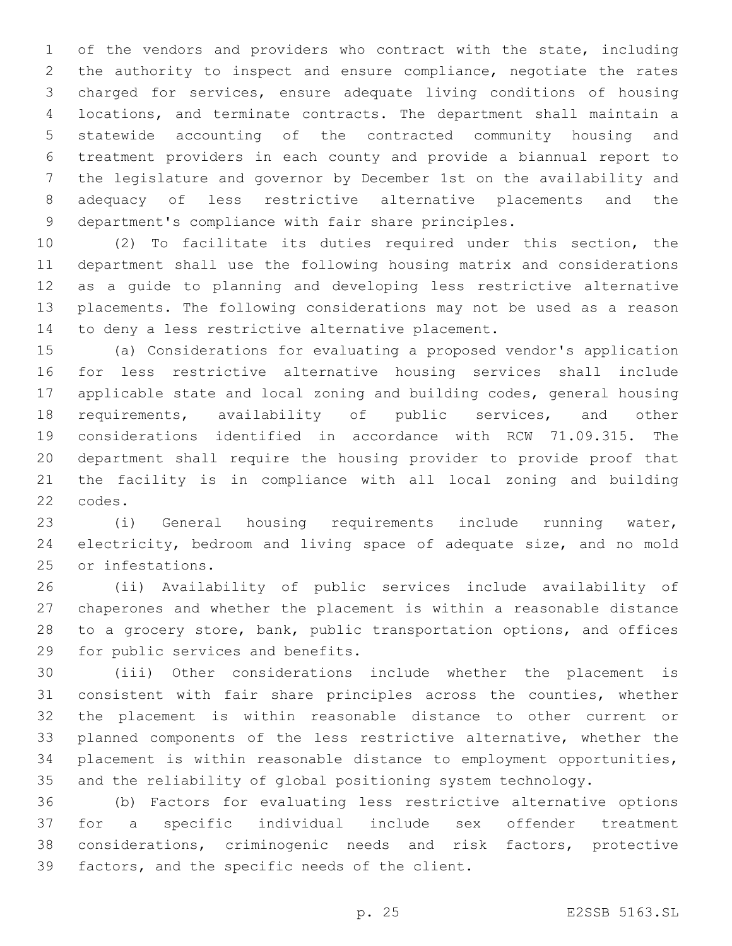of the vendors and providers who contract with the state, including the authority to inspect and ensure compliance, negotiate the rates charged for services, ensure adequate living conditions of housing locations, and terminate contracts. The department shall maintain a statewide accounting of the contracted community housing and treatment providers in each county and provide a biannual report to the legislature and governor by December 1st on the availability and adequacy of less restrictive alternative placements and the department's compliance with fair share principles.

 (2) To facilitate its duties required under this section, the department shall use the following housing matrix and considerations as a guide to planning and developing less restrictive alternative placements. The following considerations may not be used as a reason 14 to deny a less restrictive alternative placement.

 (a) Considerations for evaluating a proposed vendor's application for less restrictive alternative housing services shall include applicable state and local zoning and building codes, general housing requirements, availability of public services, and other considerations identified in accordance with RCW 71.09.315. The department shall require the housing provider to provide proof that the facility is in compliance with all local zoning and building 22 codes.

 (i) General housing requirements include running water, electricity, bedroom and living space of adequate size, and no mold 25 or infestations.

 (ii) Availability of public services include availability of chaperones and whether the placement is within a reasonable distance to a grocery store, bank, public transportation options, and offices 29 for public services and benefits.

 (iii) Other considerations include whether the placement is consistent with fair share principles across the counties, whether the placement is within reasonable distance to other current or planned components of the less restrictive alternative, whether the placement is within reasonable distance to employment opportunities, and the reliability of global positioning system technology.

 (b) Factors for evaluating less restrictive alternative options for a specific individual include sex offender treatment considerations, criminogenic needs and risk factors, protective 39 factors, and the specific needs of the client.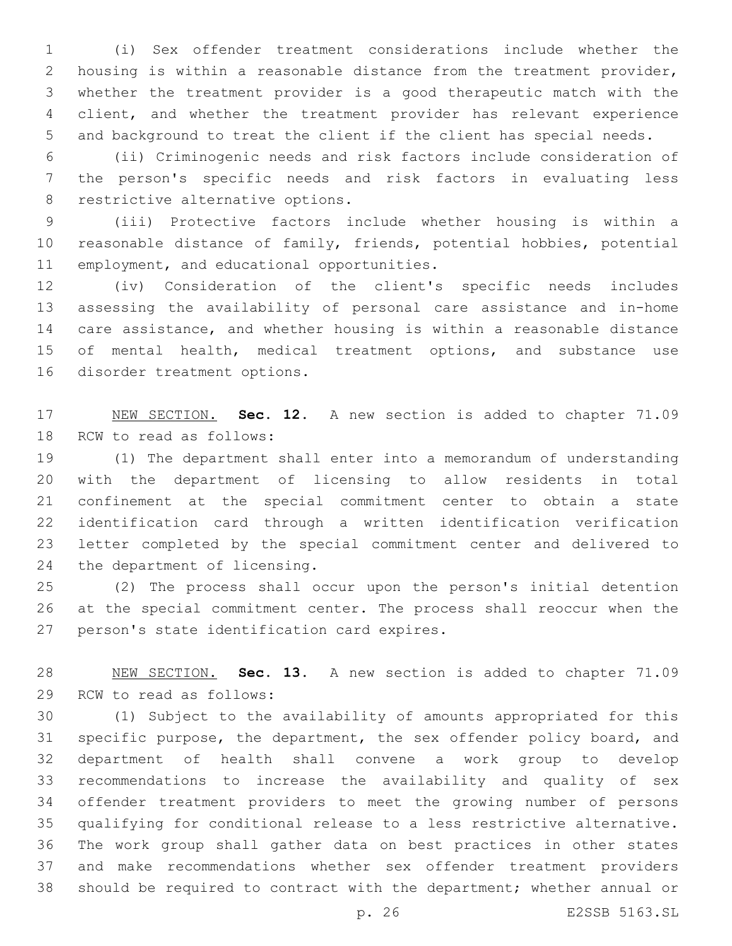(i) Sex offender treatment considerations include whether the housing is within a reasonable distance from the treatment provider, whether the treatment provider is a good therapeutic match with the client, and whether the treatment provider has relevant experience and background to treat the client if the client has special needs.

 (ii) Criminogenic needs and risk factors include consideration of the person's specific needs and risk factors in evaluating less 8 restrictive alternative options.

 (iii) Protective factors include whether housing is within a reasonable distance of family, friends, potential hobbies, potential 11 employment, and educational opportunities.

 (iv) Consideration of the client's specific needs includes assessing the availability of personal care assistance and in-home care assistance, and whether housing is within a reasonable distance 15 of mental health, medical treatment options, and substance use 16 disorder treatment options.

 NEW SECTION. **Sec. 12.** A new section is added to chapter 71.09 18 RCW to read as follows:

 (1) The department shall enter into a memorandum of understanding with the department of licensing to allow residents in total confinement at the special commitment center to obtain a state identification card through a written identification verification letter completed by the special commitment center and delivered to 24 the department of licensing.

 (2) The process shall occur upon the person's initial detention at the special commitment center. The process shall reoccur when the 27 person's state identification card expires.

 NEW SECTION. **Sec. 13.** A new section is added to chapter 71.09 29 RCW to read as follows:

 (1) Subject to the availability of amounts appropriated for this specific purpose, the department, the sex offender policy board, and department of health shall convene a work group to develop recommendations to increase the availability and quality of sex offender treatment providers to meet the growing number of persons qualifying for conditional release to a less restrictive alternative. The work group shall gather data on best practices in other states and make recommendations whether sex offender treatment providers should be required to contract with the department; whether annual or

p. 26 E2SSB 5163.SL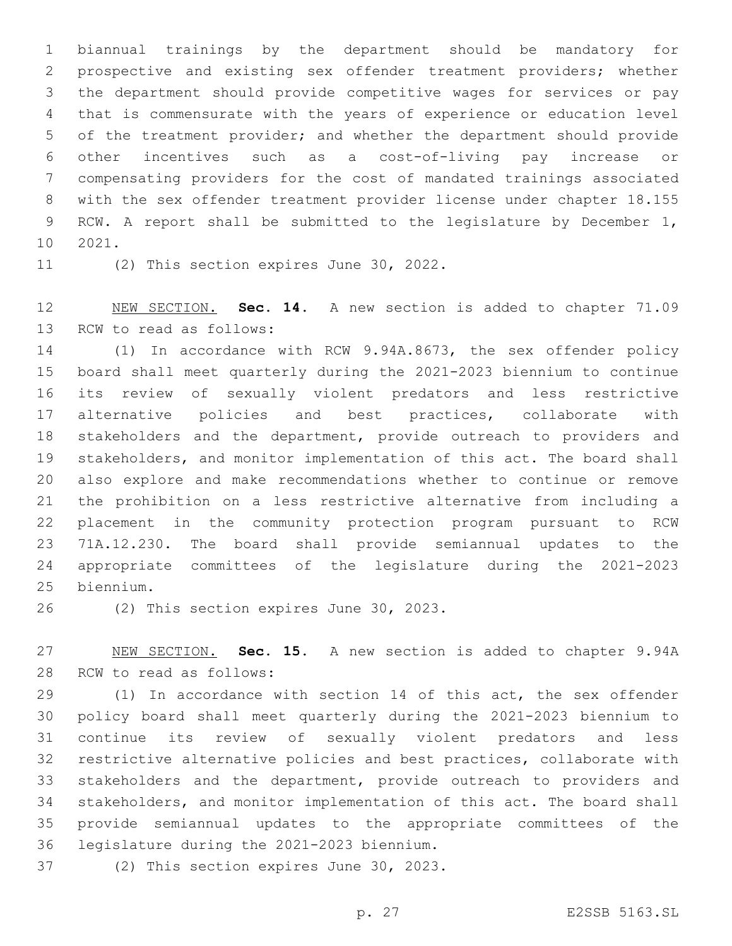biannual trainings by the department should be mandatory for prospective and existing sex offender treatment providers; whether the department should provide competitive wages for services or pay that is commensurate with the years of experience or education level of the treatment provider; and whether the department should provide other incentives such as a cost-of-living pay increase or compensating providers for the cost of mandated trainings associated with the sex offender treatment provider license under chapter 18.155 RCW. A report shall be submitted to the legislature by December 1, 10 2021.

11 (2) This section expires June 30, 2022.

 NEW SECTION. **Sec. 14.** A new section is added to chapter 71.09 13 RCW to read as follows:

 (1) In accordance with RCW 9.94A.8673, the sex offender policy board shall meet quarterly during the 2021-2023 biennium to continue its review of sexually violent predators and less restrictive alternative policies and best practices, collaborate with stakeholders and the department, provide outreach to providers and stakeholders, and monitor implementation of this act. The board shall also explore and make recommendations whether to continue or remove the prohibition on a less restrictive alternative from including a placement in the community protection program pursuant to RCW 71A.12.230. The board shall provide semiannual updates to the appropriate committees of the legislature during the 2021-2023 biennium.25

26 (2) This section expires June 30, 2023.

 NEW SECTION. **Sec. 15.** A new section is added to chapter 9.94A 28 RCW to read as follows:

 (1) In accordance with section 14 of this act, the sex offender policy board shall meet quarterly during the 2021-2023 biennium to continue its review of sexually violent predators and less restrictive alternative policies and best practices, collaborate with stakeholders and the department, provide outreach to providers and stakeholders, and monitor implementation of this act. The board shall provide semiannual updates to the appropriate committees of the 36 legislature during the 2021-2023 biennium.

37 (2) This section expires June 30, 2023.